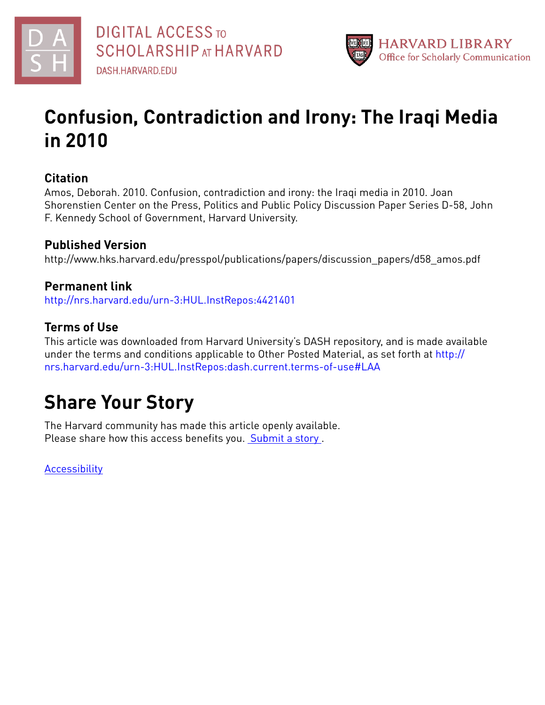



## **Confusion, Contradiction and Irony: The Iraqi Media in 2010**

### **Citation**

Amos, Deborah. 2010. Confusion, contradiction and irony: the Iraqi media in 2010. Joan Shorenstien Center on the Press, Politics and Public Policy Discussion Paper Series D-58, John F. Kennedy School of Government, Harvard University.

### **Published Version**

http://www.hks.harvard.edu/presspol/publications/papers/discussion\_papers/d58\_amos.pdf

### **Permanent link**

<http://nrs.harvard.edu/urn-3:HUL.InstRepos:4421401>

### **Terms of Use**

This article was downloaded from Harvard University's DASH repository, and is made available under the terms and conditions applicable to Other Posted Material, as set forth at [http://](http://nrs.harvard.edu/urn-3:HUL.InstRepos:dash.current.terms-of-use#LAA) [nrs.harvard.edu/urn-3:HUL.InstRepos:dash.current.terms-of-use#LAA](http://nrs.harvard.edu/urn-3:HUL.InstRepos:dash.current.terms-of-use#LAA)

## **Share Your Story**

The Harvard community has made this article openly available. Please share how this access benefits you. [Submit](http://osc.hul.harvard.edu/dash/open-access-feedback?handle=&title=Confusion,%20Contradiction%20and%20Irony:%20The%20Iraqi%20Media%20in%202010&community=1/3345933&collection=1/4433990&owningCollection1/4433990&harvardAuthors=&department) a story .

**[Accessibility](https://dash.harvard.edu/pages/accessibility)**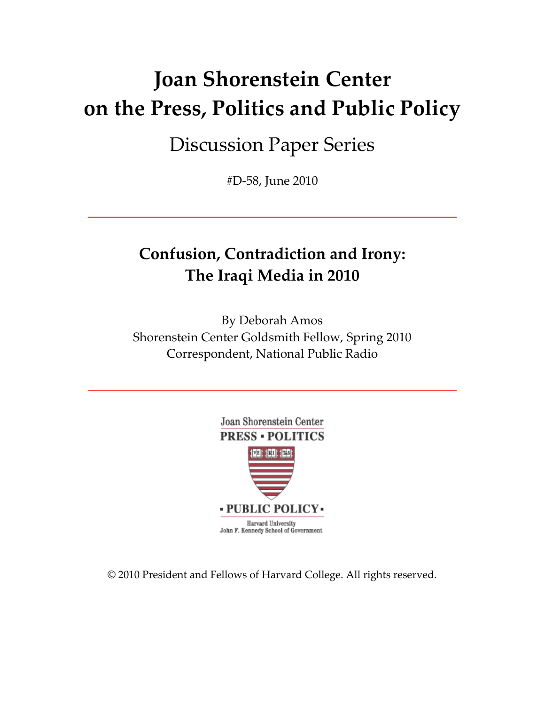# **Joan Shorenstein Center on the Press, Politics and Public Policy**

## Discussion Paper Series

#D‐58, June 2010

## **Confusion, Contradiction and Irony: The Iraqi Media in 2010**

By Deborah Amos Shorenstein Center Goldsmith Fellow, Spring 2010 Correspondent, National Public Radio



© 2010 President and Fellows of Harvard College. All rights reserved.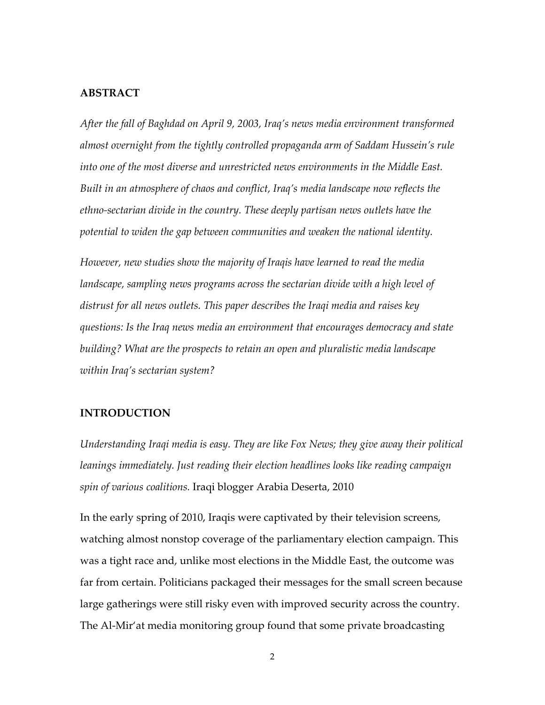#### **ABSTRACT**

*After the fall of Baghdad on April 9, 2003, Iraq's news media environment transformed almost overnight from the tightly controlled propaganda arm of Saddam Hussein's rule into one of the most diverse and unrestricted news environments in the Middle East. Built in an atmosphere of chaos and conflict, Iraq's media landscape now reflects the ethno‐sectarian divide in the country. These deeply partisan news outlets have the potential to widen the gap between communities and weaken the national identity.*

*However, new studies show the majority of Iraqis have learned to read the media landscape, sampling news programs across the sectarian divide with a high level of distrust for all news outlets. This paper describes the Iraqi media and raises key questions: Is the Iraq news media an environment that encourages democracy and state building? What are the prospects to retain an open and pluralistic media landscape within Iraq's sectarian system?*

#### **INTRODUCTION**

*Understanding Iraqi media is easy. They are like Fox News; they give away their political leanings immediately. Just reading their election headlines looks like reading campaign spin of various coalitions.* Iraqi blogger Arabia Deserta, 2010

In the early spring of 2010, Iraqis were captivated by their television screens, watching almost nonstop coverage of the parliamentary election campaign. This was a tight race and, unlike most elections in the Middle East, the outcome was far from certain. Politicians packaged their messages for the small screen because large gatherings were still risky even with improved security across the country. The Al‐Mir'at media monitoring group found that some private broadcasting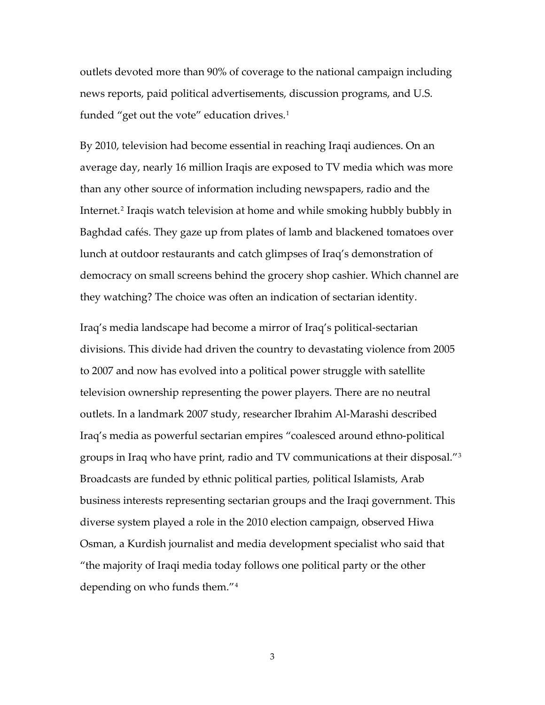outlets devoted more than 90% of coverage to the national campaign including news reports, paid political advertisements, discussion programs, and U.S. funded "get out the vote" education drives.<sup>[1](#page-38-0)</sup>

By 2010, television had become essential in reaching Iraqi audiences. On an average day, nearly 16 million Iraqis are exposed to TV media which was more than any other source of information including newspapers, radio and the Internet.[2](#page-38-1) Iraqis watch television at home and while smoking hubbly bubbly in Baghdad cafés. They gaze up from plates of lamb and blackened tomatoes over lunch at outdoor restaurants and catch glimpses of Iraq's demonstration of democracy on small screens behind the grocery shop cashier. Which channel are they watching? The choice was often an indication of sectarian identity.

Iraq's media landscape had become a mirror of Iraq's political‐sectarian divisions. This divide had driven the country to devastating violence from 2005 to 2007 and now has evolved into a political power struggle with satellite television ownership representing the power players. There are no neutral outlets. In a landmark 2007 study, researcher Ibrahim Al‐Marashi described Iraq's media as powerful sectarian empires "coalesced around ethno‐political groups in Iraq who have print, radio and TV communications at their disposal."[3](#page-38-2) Broadcasts are funded by ethnic political parties, political Islamists, Arab business interests representing sectarian groups and the Iraqi government. This diverse system played a role in the 2010 election campaign, observed Hiwa Osman, a Kurdish journalist and media development specialist who said that "the majority of Iraqi media today follows one political party or the other depending on who funds them."[4](#page-38-3)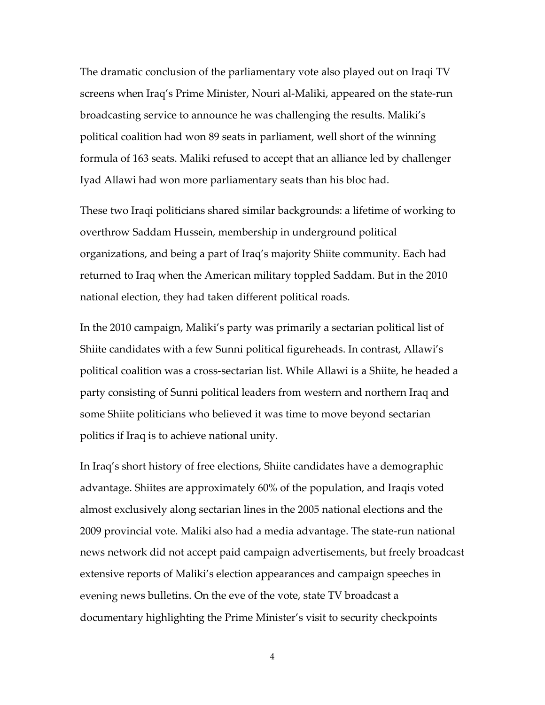The dramatic conclusion of the parliamentary vote also played out on Iraqi TV screens when Iraq's Prime Minister, Nouri al‐Maliki, appeared on the state‐run broadcasting service to announce he was challenging the results. Maliki's political coalition had won 89 seats in parliament, well short of the winning formula of 163 seats. Maliki refused to accept that an alliance led by challenger Iyad Allawi had won more parliamentary seats than his bloc had.

These two Iraqi politicians shared similar backgrounds: a lifetime of working to overthrow Saddam Hussein, membership in underground political organizations, and being a part of Iraq's majority Shiite community. Each had returned to Iraq when the American military toppled Saddam. But in the 2010 national election, they had taken different political roads.

In the 2010 campaign, Maliki's party was primarily a sectarian political list of Shiite candidates with a few Sunni political figureheads. In contrast, Allawi's political coalition was a cross‐sectarian list. While Allawi is a Shiite, he headed a party consisting of Sunni political leaders from western and northern Iraq and some Shiite politicians who believed it was time to move beyond sectarian politics if Iraq is to achieve national unity.

In Iraq's short history of free elections, Shiite candidates have a demographic advantage. Shiites are approximately 60% of the population, and Iraqis voted almost exclusively along sectarian lines in the 2005 national elections and the 2009 provincial vote. Maliki also had a media advantage. The state‐run national news network did not accept paid campaign advertisements, but freely broadcast extensive reports of Maliki's election appearances and campaign speeches in evening news bulletins. On the eve of the vote, state TV broadcast a documentary highlighting the Prime Minister's visit to security checkpoints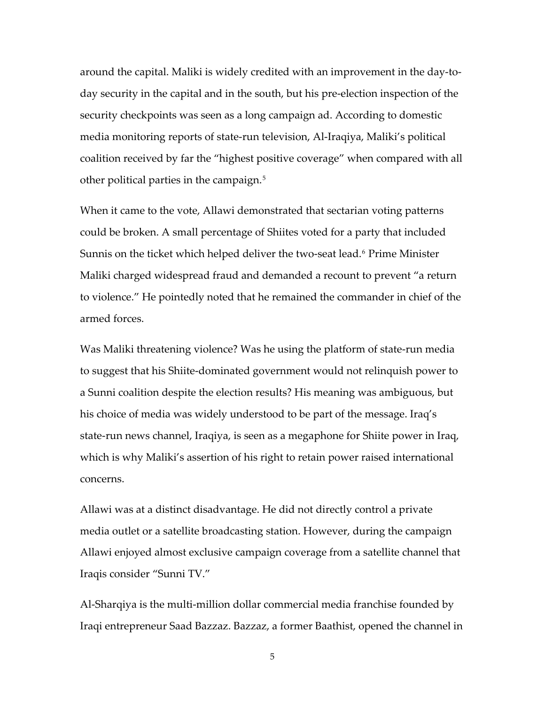around the capital. Maliki is widely credited with an improvement in the day‐to‐ day security in the capital and in the south, but his pre‐election inspection of the security checkpoints was seen as a long campaign ad. According to domestic media monitoring reports of state‐run television, Al‐Iraqiya, Maliki's political coalition received by far the "highest positive coverage" when compared with all other political parties in the campaign.<sup>[5](#page-38-4)</sup>

When it came to the vote, Allawi demonstrated that sectarian voting patterns could be broken. A small percentage of Shiites voted for a party that included Sunnis on the ticket which helped deliver the two-seat lead.<sup>[6](#page-38-5)</sup> Prime Minister Maliki charged widespread fraud and demanded a recount to prevent "a return to violence." He pointedly noted that he remained the commander in chief of the armed forces.

Was Maliki threatening violence? Was he using the platform of state-run media to suggest that his Shiite‐dominated government would not relinquish power to a Sunni coalition despite the election results? His meaning was ambiguous, but his choice of media was widely understood to be part of the message. Iraq's state‐run news channel, Iraqiya, is seen as a megaphone for Shiite power in Iraq, which is why Maliki's assertion of his right to retain power raised international concerns.

Allawi was at a distinct disadvantage. He did not directly control a private media outlet or a satellite broadcasting station. However, during the campaign Allawi enjoyed almost exclusive campaign coverage from a satellite channel that Iraqis consider "Sunni TV."

Al‐Sharqiya is the multi‐million dollar commercial media franchise founded by Iraqi entrepreneur Saad Bazzaz. Bazzaz, a former Baathist, opened the channel in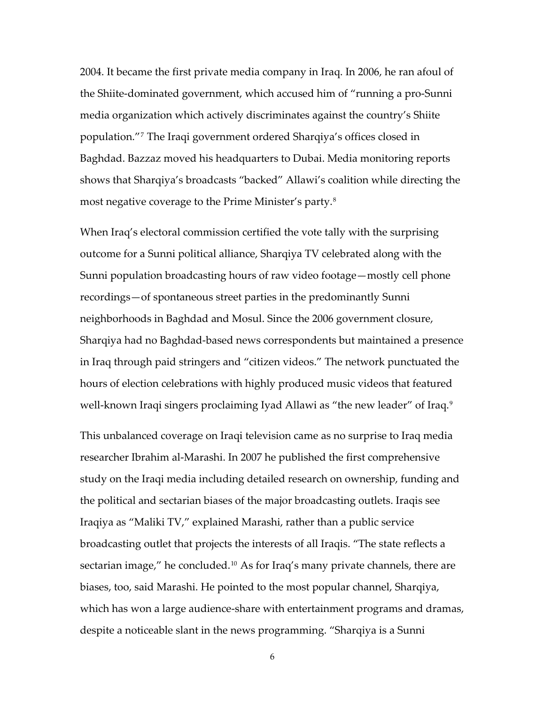2004. It became the first private media company in Iraq. In 2006, he ran afoul of the Shiite‐dominated government, which accused him of "running a pro‐Sunni media organization which actively discriminates against the country's Shiite population."[7](#page-38-6) The Iraqi government ordered Sharqiya's offices closed in Baghdad. Bazzaz moved his headquarters to Dubai. Media monitoring reports shows that Sharqiya's broadcasts "backed" Allawi's coalition while directing the most negative coverage to the Prime Minister's party.[8](#page-38-7)

When Iraq's electoral commission certified the vote tally with the surprising outcome for a Sunni political alliance, Sharqiya TV celebrated along with the Sunni population broadcasting hours of raw video footage—mostly cell phone recordings—of spontaneous street parties in the predominantly Sunni neighborhoods in Baghdad and Mosul. Since the 2006 government closure, Sharqiya had no Baghdad‐based news correspondents but maintained a presence in Iraq through paid stringers and "citizen videos." The network punctuated the hours of election celebrations with highly produced music videos that featured well-known Iraqi singers proclaiming Iyad Allawi as "the new leader" of Iraq.<sup>[9](#page-38-8)</sup>

This unbalanced coverage on Iraqi television came as no surprise to Iraq media researcher Ibrahim al‐Marashi. In 2007 he published the first comprehensive study on the Iraqi media including detailed research on ownership, funding and the political and sectarian biases of the major broadcasting outlets. Iraqis see Iraqiya as "Maliki TV," explained Marashi, rather than a public service broadcasting outlet that projects the interests of all Iraqis. "The state reflects a sectarian image," he concluded.<sup>[10](#page-39-0)</sup> As for Iraq's many private channels, there are biases, too, said Marashi. He pointed to the most popular channel, Sharqiya, which has won a large audience‐share with entertainment programs and dramas, despite a noticeable slant in the news programming. "Sharqiya is a Sunni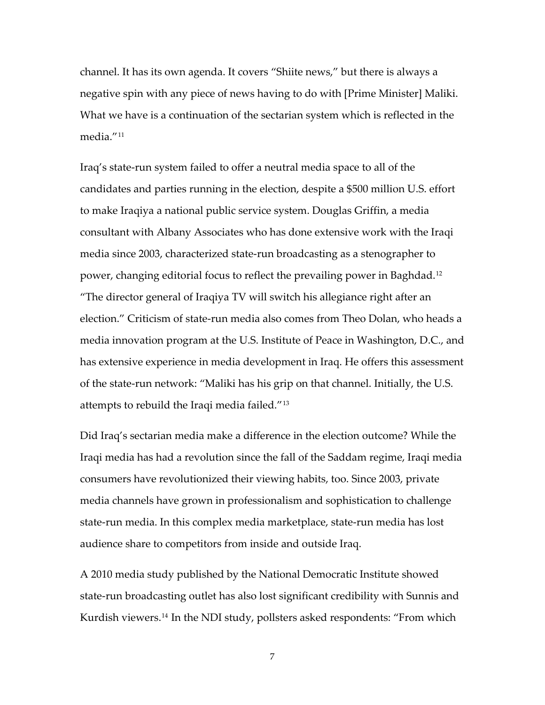channel. It has its own agenda. It covers "Shiite news," but there is always a negative spin with any piece of news having to do with [Prime Minister] Maliki. What we have is a continuation of the sectarian system which is reflected in the media."[11](#page-39-1)

Iraq's state‐run system failed to offer a neutral media space to all of the candidates and parties running in the election, despite a \$500 million U.S. effort to make Iraqiya a national public service system. Douglas Griffin, a media consultant with Albany Associates who has done extensive work with the Iraqi media since 2003, characterized state‐run broadcasting as a stenographer to power, changing editorial focus to reflect the prevailing power in Baghdad.[12](#page-39-2) "The director general of Iraqiya TV will switch his allegiance right after an election." Criticism of state‐run media also comes from Theo Dolan, who heads a media innovation program at the U.S. Institute of Peace in Washington, D.C., and has extensive experience in media development in Iraq. He offers this assessment of the state‐run network: "Maliki has his grip on that channel. Initially, the U.S. attempts to rebuild the Iraqi media failed."[13](#page-39-3)

Did Iraq's sectarian media make a difference in the election outcome? While the Iraqi media has had a revolution since the fall of the Saddam regime, Iraqi media consumers have revolutionized their viewing habits, too. Since 2003, private media channels have grown in professionalism and sophistication to challenge state‐run media. In this complex media marketplace, state‐run media has lost audience share to competitors from inside and outside Iraq.

A 2010 media study published by the National Democratic Institute showed state‐run broadcasting outlet has also lost significant credibility with Sunnis and Kurdish viewers.[14](#page-39-4) In the NDI study, pollsters asked respondents: "From which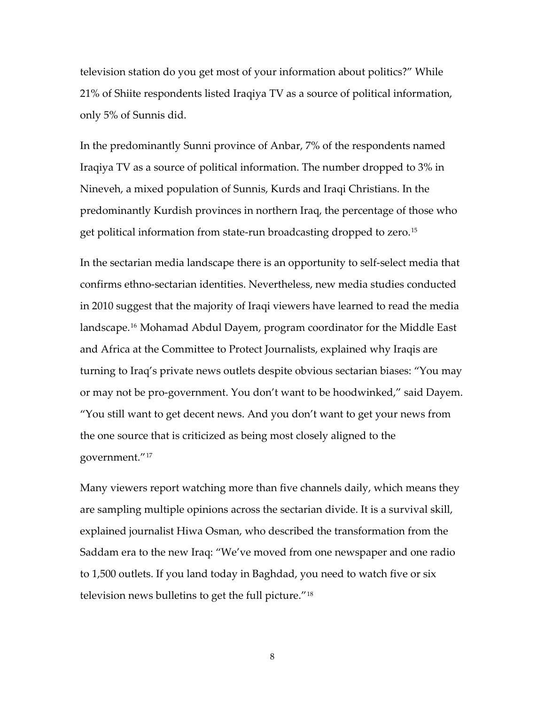television station do you get most of your information about politics?" While 21% of Shiite respondents listed Iraqiya TV as a source of political information, only 5% of Sunnis did.

In the predominantly Sunni province of Anbar, 7% of the respondents named Iraqiya TV as a source of political information. The number dropped to 3% in Nineveh, a mixed population of Sunnis, Kurds and Iraqi Christians. In the predominantly Kurdish provinces in northern Iraq, the percentage of those who get political information from state‐run broadcasting dropped to zero.[15](#page-39-5)

In the sectarian media landscape there is an opportunity to self‐select media that confirms ethno‐sectarian identities. Nevertheless, new media studies conducted in 2010 suggest that the majority of Iraqi viewers have learned to read the media landscape.[16](#page-39-6) Mohamad Abdul Dayem, program coordinator for the Middle East and Africa at the Committee to Protect Journalists, explained why Iraqis are turning to Iraq's private news outlets despite obvious sectarian biases: "You may or may not be pro‐government. You don't want to be hoodwinked," said Dayem. "You still want to get decent news. And you don't want to get your news from the one source that is criticized as being most closely aligned to the government."[17](#page-39-7)

Many viewers report watching more than five channels daily, which means they are sampling multiple opinions across the sectarian divide. It is a survival skill, explained journalist Hiwa Osman, who described the transformation from the Saddam era to the new Iraq: "We've moved from one newspaper and one radio to 1,500 outlets. If you land today in Baghdad, you need to watch five or six television news bulletins to get the full picture."[18](#page-39-8)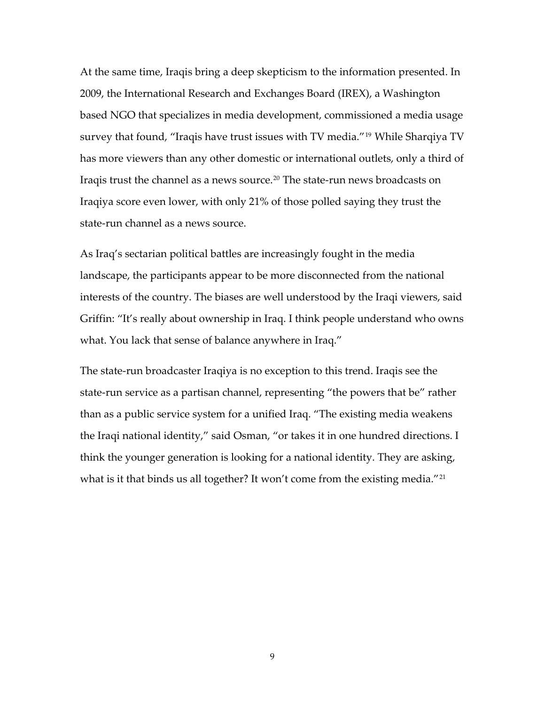At the same time, Iraqis bring a deep skepticism to the information presented. In 2009, the International Research and Exchanges Board (IREX), a Washington based NGO that specializes in media development, commissioned a media usage survey that found, "Iraqis have trust issues with TV media."[19](#page-39-9) While Sharqiya TV has more viewers than any other domestic or international outlets, only a third of Iraqis trust the channel as a news source.<sup>[20](#page-39-10)</sup> The state-run news broadcasts on Iraqiya score even lower, with only 21% of those polled saying they trust the state‐run channel as a news source.

As Iraq's sectarian political battles are increasingly fought in the media landscape, the participants appear to be more disconnected from the national interests of the country. The biases are well understood by the Iraqi viewers, said Griffin: "It's really about ownership in Iraq. I think people understand who owns what. You lack that sense of balance anywhere in Iraq."

The state‐run broadcaster Iraqiya is no exception to this trend. Iraqis see the state‐run service as a partisan channel, representing "the powers that be" rather than as a public service system for a unified Iraq. "The existing media weakens the Iraqi national identity," said Osman, "or takes it in one hundred directions. I think the younger generation is looking for a national identity. They are asking, what is it that binds us all together? It won't come from the existing media."<sup>[21](#page-39-11)</sup>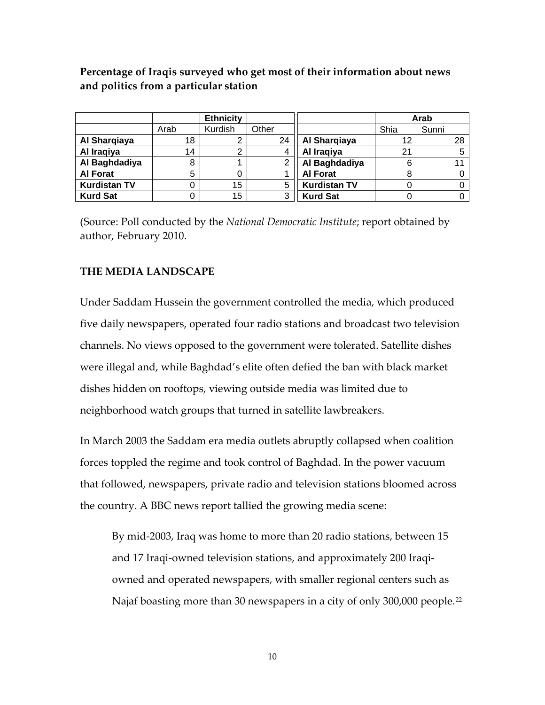**Percentage of Iraqis surveyed who get most of their information about news and politics from a particular station**

|                     |      | <b>Ethnicity</b> |       |                     | Arab |       |
|---------------------|------|------------------|-------|---------------------|------|-------|
|                     | Arab | Kurdish          | Other |                     | Shia | Sunni |
| Al Sharqiaya        | 18   | ⌒                | 24    | Al Sharqiaya        | 12   | 28    |
| Al Iraqiya          | 14   | ◠                | 4     | Al Iraqiya          | 21   |       |
| Al Baghdadiya       | 8    |                  | ⌒     | Al Baghdadiya       | 6    |       |
| <b>Al Forat</b>     | 5    |                  |       | <b>Al Forat</b>     | 8    |       |
| <b>Kurdistan TV</b> |      | 15               | 5     | <b>Kurdistan TV</b> |      |       |
| <b>Kurd Sat</b>     |      | 15               | 3     | <b>Kurd Sat</b>     |      |       |

(Source: Poll conducted by the *National Democratic Institute*; report obtained by author, February 2010.

#### **THE MEDIA LANDSCAPE**

Under Saddam Hussein the government controlled the media, which produced five daily newspapers, operated four radio stations and broadcast two television channels. No views opposed to the government were tolerated. Satellite dishes were illegal and, while Baghdad's elite often defied the ban with black market dishes hidden on rooftops, viewing outside media was limited due to neighborhood watch groups that turned in satellite lawbreakers.

In March 2003 the Saddam era media outlets abruptly collapsed when coalition forces toppled the regime and took control of Baghdad. In the power vacuum that followed, newspapers, private radio and television stations bloomed across the country. A BBC news report tallied the growing media scene:

By mid‐2003, Iraq was home to more than 20 radio stations, between 15 and 17 Iraqi-owned television stations, and approximately 200 Iraqiowned and operated newspapers, with smaller regional centers such as Najaf boasting more than 30 newspapers in a city of only 300,000 people.<sup>[22](#page-39-12)</sup>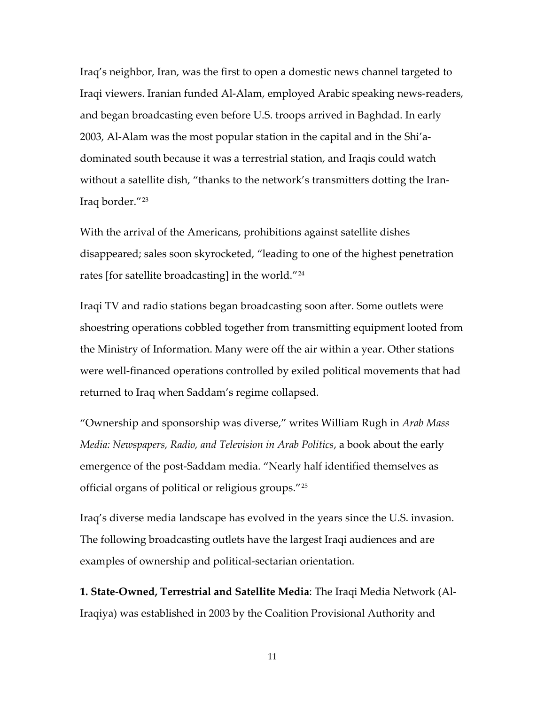Iraq's neighbor, Iran, was the first to open a domestic news channel targeted to Iraqi viewers. Iranian funded Al‐Alam, employed Arabic speaking news‐readers, and began broadcasting even before U.S. troops arrived in Baghdad. In early 2003, Al‐Alam was the most popular station in the capital and in the Shi'a‐ dominated south because it was a terrestrial station, and Iraqis could watch without a satellite dish, "thanks to the network's transmitters dotting the Iran-Iraq border."[23](#page-39-13)

With the arrival of the Americans, prohibitions against satellite dishes disappeared; sales soon skyrocketed, "leading to one of the highest penetration rates [for satellite broadcasting] in the world."[24](#page-40-0)

Iraqi TV and radio stations began broadcasting soon after. Some outlets were shoestring operations cobbled together from transmitting equipment looted from the Ministry of Information. Many were off the air within a year. Other stations were well-financed operations controlled by exiled political movements that had returned to Iraq when Saddam's regime collapsed.

"Ownership and sponsorship was diverse," writes William Rugh in *Arab Mass Media: Newspapers, Radio, and Television in Arab Politics*, a book about the early emergence of the post-Saddam media. "Nearly half identified themselves as official organs of political or religious groups."[25](#page-40-1)

Iraq's diverse media landscape has evolved in the years since the U.S. invasion. The following broadcasting outlets have the largest Iraqi audiences and are examples of ownership and political‐sectarian orientation.

**1. State‐Owned, Terrestrial and Satellite Media**: The Iraqi Media Network (Al‐ Iraqiya) was established in 2003 by the Coalition Provisional Authority and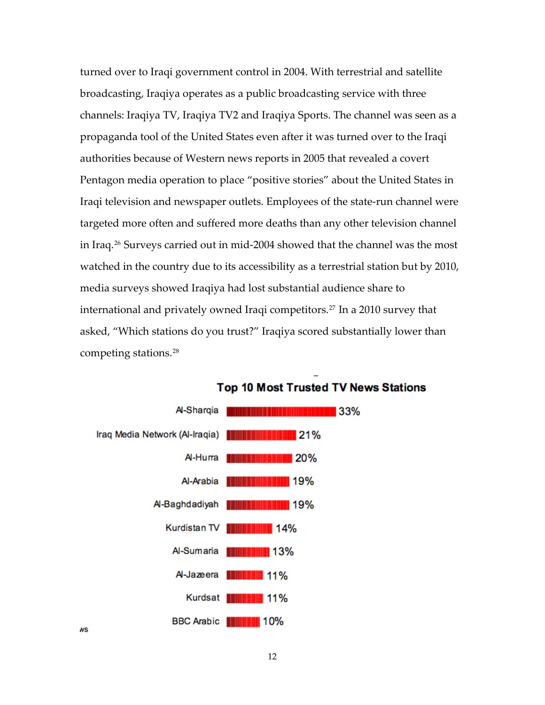turned over to Iraqi government control in 2004. With terrestrial and satellite broadcasting, Iraqiya operates as a public broadcasting service with three channels: Iraqiya TV, Iraqiya TV2 and Iraqiya Sports. The channel was seen as a propaganda tool of the United States even after it was turned over to the Iraqi authorities because of Western news reports in 2005 that revealed a covert Pentagon media operation to place "positive stories" about the United States in Iraqi television and newspaper outlets. Employees of the state‐run channel were targeted more often and suffered more deaths than any other television channel in Iraq.[26](#page-40-2) Surveys carried out in mid‐2004 showed that the channel was the most watched in the country due to its accessibility as a terrestrial station but by 2010, media surveys showed Iraqiya had lost substantial audience share to international and privately owned Iraqi competitors.<sup>[27](#page-40-3)</sup> In a 2010 survey that asked, "Which stations do you trust?" Iraqiya scored substantially lower than competing stations.[28](#page-40-4)



#### **Top 10 Most Trusted TV News Stations**

**NS**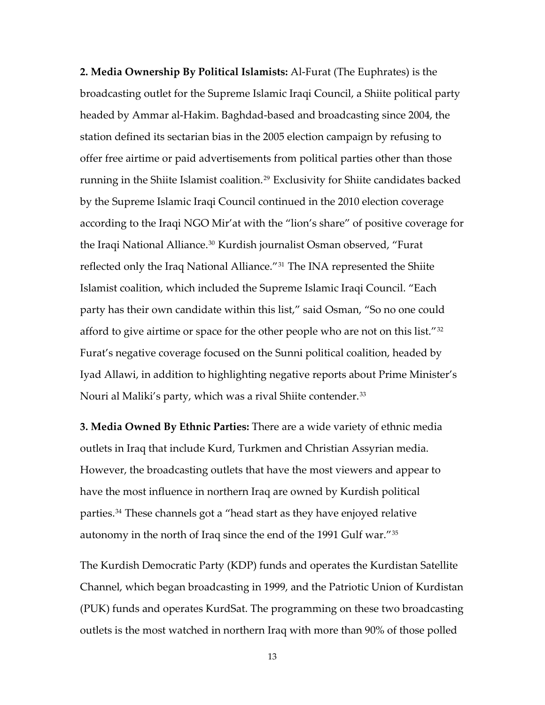**2. Media Ownership By Political Islamists:** Al‐Furat (The Euphrates) is the broadcasting outlet for the Supreme Islamic Iraqi Council, a Shiite political party headed by Ammar al‐Hakim. Baghdad‐based and broadcasting since 2004, the station defined its sectarian bias in the 2005 election campaign by refusing to offer free airtime or paid advertisements from political parties other than those running in the Shiite Islamist coalition.<sup>[29](#page-40-5)</sup> Exclusivity for Shiite candidates backed by the Supreme Islamic Iraqi Council continued in the 2010 election coverage according to the Iraqi NGO Mir'at with the "lion's share" of positive coverage for the Iraqi National Alliance.<sup>[30](#page-40-6)</sup> Kurdish journalist Osman observed, "Furat reflected only the Iraq National Alliance."<sup>[31](#page-40-7)</sup> The INA represented the Shiite Islamist coalition, which included the Supreme Islamic Iraqi Council. "Each party has their own candidate within this list," said Osman, "So no one could afford to give airtime or space for the other people who are not on this list."[32](#page-40-8) Furat's negative coverage focused on the Sunni political coalition, headed by Iyad Allawi, in addition to highlighting negative reports about Prime Minister's Nouri al Maliki's party, which was a rival Shiite contender.<sup>[33](#page-40-9)</sup>

**3. Media Owned By Ethnic Parties:** There are a wide variety of ethnic media outlets in Iraq that include Kurd, Turkmen and Christian Assyrian media. However, the broadcasting outlets that have the most viewers and appear to have the most influence in northern Iraq are owned by Kurdish political parties.[34](#page-41-0) These channels got a "head start as they have enjoyed relative autonomy in the north of Iraq since the end of the 1991 Gulf war."35

The Kurdish Democratic Party (KDP) funds and operates the Kurdistan Satellite Channel, which began broadcasting in 1999, and the Patriotic Union of Kurdistan (PUK) funds and operates KurdSat. The programming on these two broadcasting outlets is the most watched in northern Iraq with more than 90% of those polled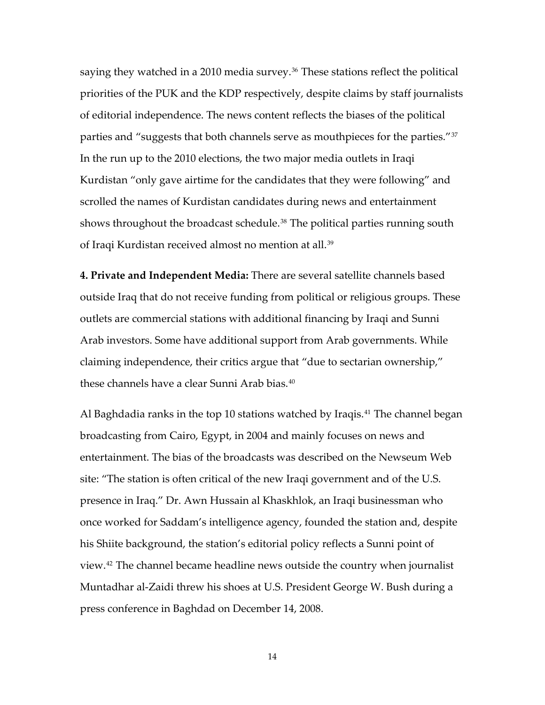saying they watched in a 2010 media survey.<sup>[36](#page-41-1)</sup> These stations reflect the political priorities of the PUK and the KDP respectively, despite claims by staff journalists of editorial independence. The news content reflects the biases of the political parties and "suggests that both channels serve as mouthpieces for the parties."<sup>[37](#page-41-2)</sup> In the run up to the 2010 elections, the two major media outlets in Iraqi Kurdistan "only gave airtime for the candidates that they were following" and scrolled the names of Kurdistan candidates during news and entertainment shows throughout the broadcast schedule.<sup>[38](#page-41-3)</sup> The political parties running south of Iraqi Kurdistan received almost no mention at all.[39](#page-41-4)

**4. Private and Independent Media:** There are several satellite channels based outside Iraq that do not receive funding from political or religious groups. These outlets are commercial stations with additional financing by Iraqi and Sunni Arab investors. Some have additional support from Arab governments. While claiming independence, their critics argue that "due to sectarian ownership," these channels have a clear Sunni Arab bias.[40](#page-41-5)

Al Baghdadia ranks in the top 10 stations watched by Iraqis.<sup>[41](#page-41-6)</sup> The channel began broadcasting from Cairo, Egypt, in 2004 and mainly focuses on news and entertainment. The bias of the broadcasts was described on the Newseum Web site: "The station is often critical of the new Iraqi government and of the U.S. presence in Iraq." Dr. Awn Hussain al Khaskhlok, an Iraqi businessman who once worked for Saddam's intelligence agency, founded the station and, despite his Shiite background, the station's editorial policy reflects a Sunni point of view.[42](#page-41-7) The channel became headline news outside the country when journalist Muntadhar al‐Zaidi threw his shoes at U.S. President George W. Bush during a press conference in Baghdad on December 14, 2008.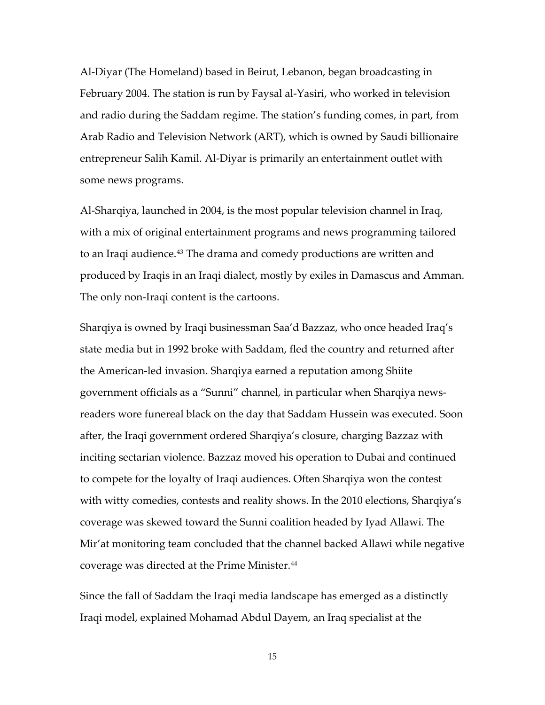Al‐Diyar (The Homeland) based in Beirut, Lebanon, began broadcasting in February 2004. The station is run by Faysal al‐Yasiri, who worked in television and radio during the Saddam regime. The station's funding comes, in part, from Arab Radio and Television Network (ART), which is owned by Saudi billionaire entrepreneur Salih Kamil. Al‐Diyar is primarily an entertainment outlet with some news programs.

Al‐Sharqiya, launched in 2004, is the most popular television channel in Iraq, with a mix of original entertainment programs and news programming tailored to an Iraqi audience.<sup>[43](#page-41-8)</sup> The drama and comedy productions are written and produced by Iraqis in an Iraqi dialect, mostly by exiles in Damascus and Amman. The only non‐Iraqi content is the cartoons.

Sharqiya is owned by Iraqi businessman Saa'd Bazzaz, who once headed Iraq's state media but in 1992 broke with Saddam, fled the country and returned after the American‐led invasion. Sharqiya earned a reputation among Shiite government officials as a "Sunni" channel, in particular when Sharqiya news‐ readers wore funereal black on the day that Saddam Hussein was executed. Soon after, the Iraqi government ordered Sharqiya's closure, charging Bazzaz with inciting sectarian violence. Bazzaz moved his operation to Dubai and continued to compete for the loyalty of Iraqi audiences. Often Sharqiya won the contest with witty comedies, contests and reality shows. In the 2010 elections, Sharqiya's coverage was skewed toward the Sunni coalition headed by Iyad Allawi. The Mir'at monitoring team concluded that the channel backed Allawi while negative coverage was directed at the Prime Minister.[44](#page-41-9)

Since the fall of Saddam the Iraqi media landscape has emerged as a distinctly Iraqi model, explained Mohamad Abdul Dayem, an Iraq specialist at the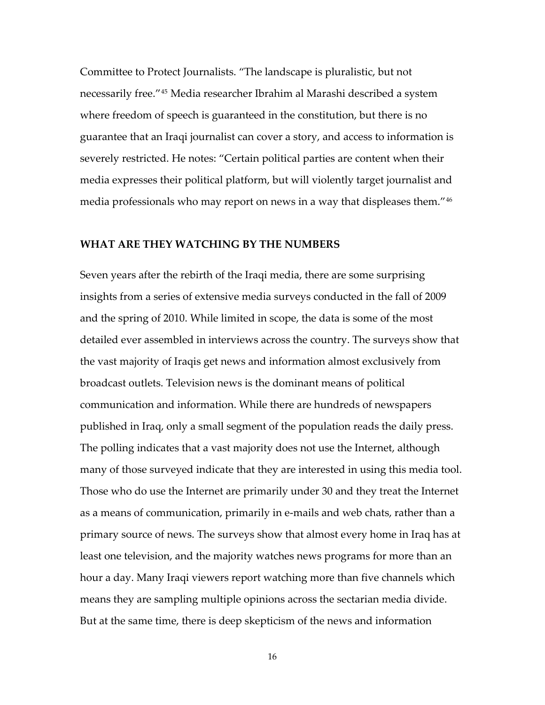Committee to Protect Journalists. "The landscape is pluralistic, but not necessarily free."[45](#page-41-10) Media researcher Ibrahim al Marashi described a system where freedom of speech is guaranteed in the constitution, but there is no guarantee that an Iraqi journalist can cover a story, and access to information is severely restricted. He notes: "Certain political parties are content when their media expresses their political platform, but will violently target journalist and media professionals who may report on news in a way that displeases them."[46](#page-42-0)

#### **WHAT ARE THEY WATCHING BY THE NUMBERS**

Seven years after the rebirth of the Iraqi media, there are some surprising insights from a series of extensive media surveys conducted in the fall of 2009 and the spring of 2010. While limited in scope, the data is some of the most detailed ever assembled in interviews across the country. The surveys show that the vast majority of Iraqis get news and information almost exclusively from broadcast outlets. Television news is the dominant means of political communication and information. While there are hundreds of newspapers published in Iraq, only a small segment of the population reads the daily press. The polling indicates that a vast majority does not use the Internet, although many of those surveyed indicate that they are interested in using this media tool. Those who do use the Internet are primarily under 30 and they treat the Internet as a means of communication, primarily in e‐mails and web chats, rather than a primary source of news. The surveys show that almost every home in Iraq has at least one television, and the majority watches news programs for more than an hour a day. Many Iraqi viewers report watching more than five channels which means they are sampling multiple opinions across the sectarian media divide. But at the same time, there is deep skepticism of the news and information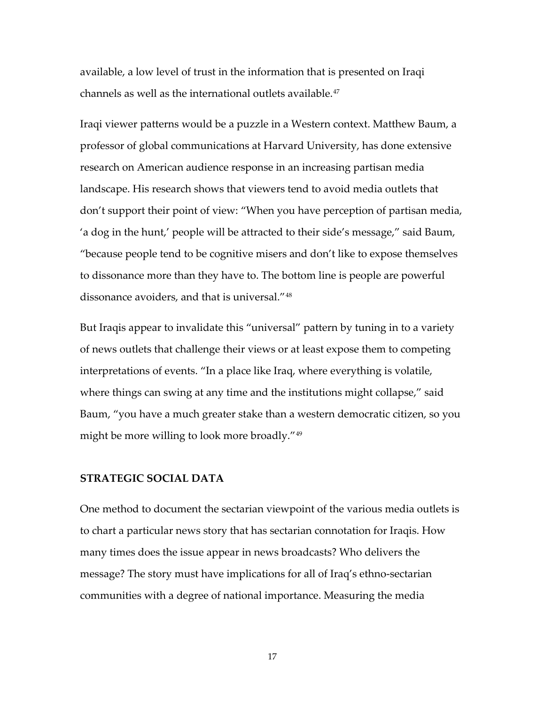available, a low level of trust in the information that is presented on Iraqi channels as well as the international outlets available.[47](#page-42-1)

Iraqi viewer patterns would be a puzzle in a Western context. Matthew Baum, a professor of global communications at Harvard University, has done extensive research on American audience response in an increasing partisan media landscape. His research shows that viewers tend to avoid media outlets that don't support their point of view: "When you have perception of partisan media, 'a dog in the hunt,' people will be attracted to their side's message," said Baum, "because people tend to be cognitive misers and don't like to expose themselves to dissonance more than they have to. The bottom line is people are powerful dissonance avoiders, and that is universal."[48](#page-42-2)

But Iraqis appear to invalidate this "universal" pattern by tuning in to a variety of news outlets that challenge their views or at least expose them to competing interpretations of events. "In a place like Iraq, where everything is volatile, where things can swing at any time and the institutions might collapse," said Baum, "you have a much greater stake than a western democratic citizen, so you might be more willing to look more broadly."[49](#page-42-3)

#### **STRATEGIC SOCIAL DATA**

One method to document the sectarian viewpoint of the various media outlets is to chart a particular news story that has sectarian connotation for Iraqis. How many times does the issue appear in news broadcasts? Who delivers the message? The story must have implications for all of Iraq's ethno-sectarian communities with a degree of national importance. Measuring the media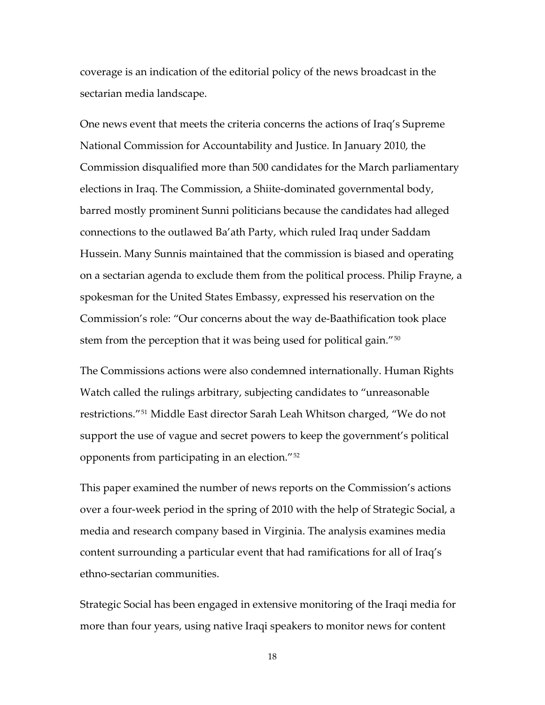coverage is an indication of the editorial policy of the news broadcast in the sectarian media landscape.

One news event that meets the criteria concerns the actions of Iraq's Supreme National Commission for Accountability and Justice. In January 2010, the Commission disqualified more than 500 candidates for the March parliamentary elections in Iraq. The Commission, a Shiite‐dominated governmental body, barred mostly prominent Sunni politicians because the candidates had alleged connections to the outlawed Ba'ath Party, which ruled Iraq under Saddam Hussein. Many Sunnis maintained that the commission is biased and operating on a sectarian agenda to exclude them from the political process. Philip Frayne, a spokesman for the United States Embassy, expressed his reservation on the Commission's role: "Our concerns about the way de‐Baathification took place stem from the perception that it was being used for political gain."[50](#page-42-4)

The Commissions actions were also condemned internationally. Human Rights Watch called the rulings arbitrary, subjecting candidates to "unreasonable restrictions."[51](#page-42-5) Middle East director Sarah Leah Whitson charged, "We do not support the use of vague and secret powers to keep the government's political opponents from participating in an election."[52](#page-42-6)

This paper examined the number of news reports on the Commission's actions over a four‐week period in the spring of 2010 with the help of Strategic Social, a media and research company based in Virginia. The analysis examines media content surrounding a particular event that had ramifications for all of Iraq's ethno‐sectarian communities.

Strategic Social has been engaged in extensive monitoring of the Iraqi media for more than four years, using native Iraqi speakers to monitor news for content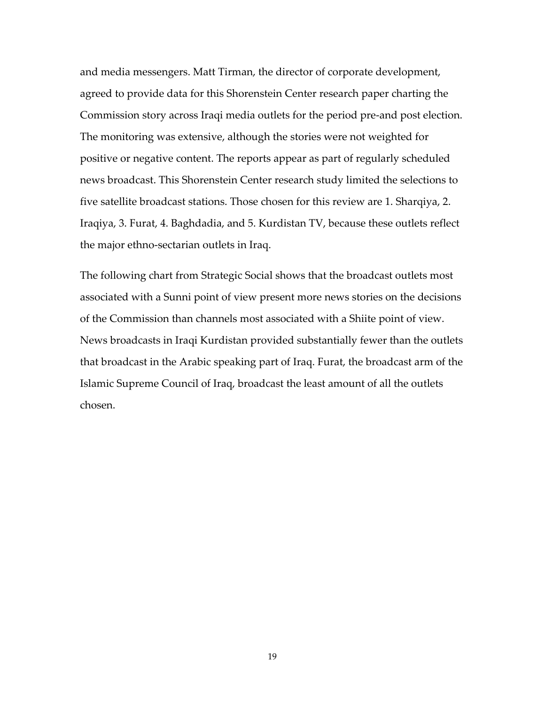and media messengers. Matt Tirman, the director of corporate development, agreed to provide data for this Shorenstein Center research paper charting the Commission story across Iraqi media outlets for the period pre‐and post election. The monitoring was extensive, although the stories were not weighted for positive or negative content. The reports appear as part of regularly scheduled news broadcast. This Shorenstein Center research study limited the selections to five satellite broadcast stations. Those chosen for this review are 1. Sharqiya, 2. Iraqiya, 3. Furat, 4. Baghdadia, and 5. Kurdistan TV, because these outlets reflect the major ethno‐sectarian outlets in Iraq.

The following chart from Strategic Social shows that the broadcast outlets most associated with a Sunni point of view present more news stories on the decisions of the Commission than channels most associated with a Shiite point of view. News broadcasts in Iraqi Kurdistan provided substantially fewer than the outlets that broadcast in the Arabic speaking part of Iraq. Furat, the broadcast arm of the Islamic Supreme Council of Iraq, broadcast the least amount of all the outlets chosen.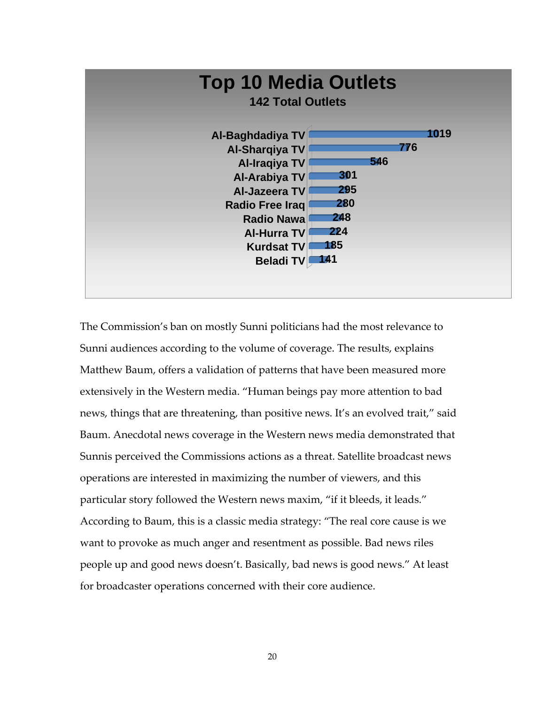

The Commission's ban on mostly Sunni politicians had the most relevance to Sunni audiences according to the volume of coverage. The results, explains Matthew Baum, offers a validation of patterns that have been measured more extensively in the Western media. "Human beings pay more attention to bad news, things that are threatening, than positive news. It's an evolved trait," said Baum. Anecdotal news coverage in the Western news media demonstrated that Sunnis perceived the Commissions actions as a threat. Satellite broadcast news operations are interested in maximizing the number of viewers, and this particular story followed the Western news maxim, "if it bleeds, it leads." According to Baum, this is a classic media strategy: "The real core cause is we want to provoke as much anger and resentment as possible. Bad news riles people up and good news doesn't. Basically, bad news is good news." At least for broadcaster operations concerned with their core audience.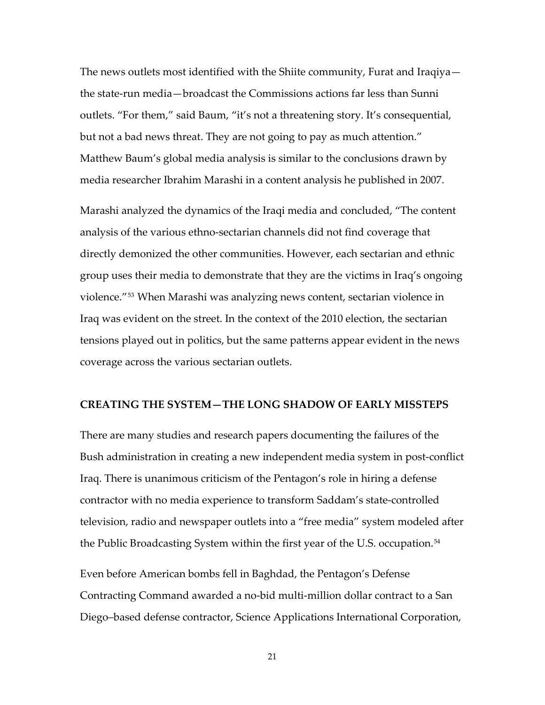The news outlets most identified with the Shiite community, Furat and Iraqiya the state‐run media—broadcast the Commissions actions far less than Sunni outlets. "For them," said Baum, "it's not a threatening story. It's consequential, but not a bad news threat. They are not going to pay as much attention." Matthew Baum's global media analysis is similar to the conclusions drawn by media researcher Ibrahim Marashi in a content analysis he published in 2007.

Marashi analyzed the dynamics of the Iraqi media and concluded, "The content analysis of the various ethno‐sectarian channels did not find coverage that directly demonized the other communities. However, each sectarian and ethnic group uses their media to demonstrate that they are the victims in Iraq's ongoing violence."[53](#page-42-7) When Marashi was analyzing news content, sectarian violence in Iraq was evident on the street. In the context of the 2010 election, the sectarian tensions played out in politics, but the same patterns appear evident in the news coverage across the various sectarian outlets.

#### **CREATING THE SYSTEM—THE LONG SHADOW OF EARLY MISSTEPS**

There are many studies and research papers documenting the failures of the Bush administration in creating a new independent media system in post‐conflict Iraq. There is unanimous criticism of the Pentagon's role in hiring a defense contractor with no media experience to transform Saddam's state‐controlled television, radio and newspaper outlets into a "free media" system modeled after the Public Broadcasting System within the first year of the U.S. occupation.[54](#page-42-8)

Even before American bombs fell in Baghdad, the Pentagon's Defense Contracting Command awarded a no‐bid multi‐million dollar contract to a San Diego–based defense contractor, Science Applications International Corporation,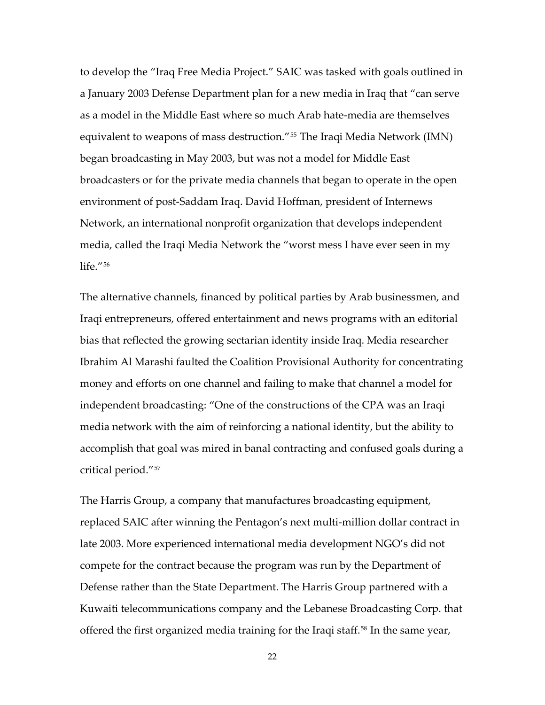to develop the "Iraq Free Media Project." SAIC was tasked with goals outlined in a January 2003 Defense Department plan for a new media in Iraq that "can serve as a model in the Middle East where so much Arab hate‐media are themselves equivalent to weapons of mass destruction."<sup>[55](#page-42-9)</sup> The Iraqi Media Network (IMN) began broadcasting in May 2003, but was not a model for Middle East broadcasters or for the private media channels that began to operate in the open environment of post‐Saddam Iraq. David Hoffman, president of Internews Network, an international nonprofit organization that develops independent media, called the Iraqi Media Network the "worst mess I have ever seen in my life $^{\prime\prime}$ <sup>[56](#page-42-10)</sup>

The alternative channels, financed by political parties by Arab businessmen, and Iraqi entrepreneurs, offered entertainment and news programs with an editorial bias that reflected the growing sectarian identity inside Iraq. Media researcher Ibrahim Al Marashi faulted the Coalition Provisional Authority for concentrating money and efforts on one channel and failing to make that channel a model for independent broadcasting: "One of the constructions of the CPA was an Iraqi media network with the aim of reinforcing a national identity, but the ability to accomplish that goal was mired in banal contracting and confused goals during a critical period."[57](#page-43-0)

The Harris Group, a company that manufactures broadcasting equipment, replaced SAIC after winning the Pentagon's next multi‐million dollar contract in late 2003. More experienced international media development NGO's did not compete for the contract because the program was run by the Department of Defense rather than the State Department. The Harris Group partnered with a Kuwaiti telecommunications company and the Lebanese Broadcasting Corp. that offered the first organized media training for the Iraqi staff.<sup>[58](#page-43-1)</sup> In the same year,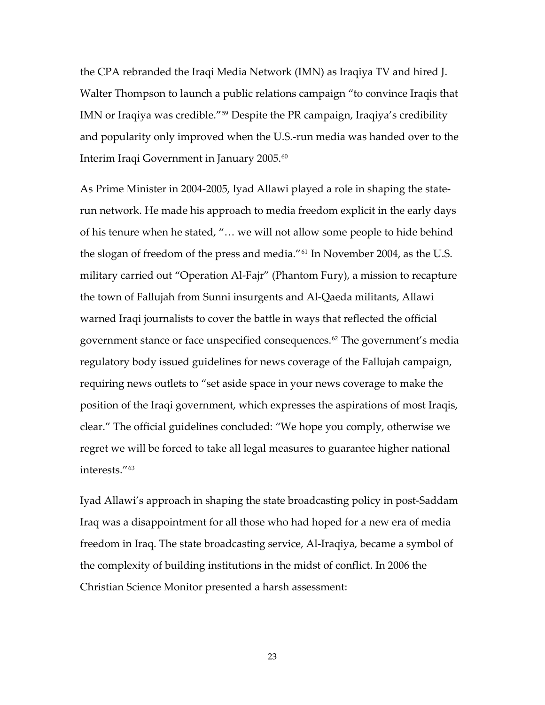the CPA rebranded the Iraqi Media Network (IMN) as Iraqiya TV and hired J. Walter Thompson to launch a public relations campaign "to convince Iraqis that IMN or Iraqiya was credible."[59](#page-43-2) Despite the PR campaign, Iraqiya's credibility and popularity only improved when the U.S.‐run media was handed over to the Interim Iraqi Government in January 2005.<sup>[60](#page-43-3)</sup>

As Prime Minister in 2004‐2005, Iyad Allawi played a role in shaping the state‐ run network. He made his approach to media freedom explicit in the early days of his tenure when he stated, "… we will not allow some people to hide behind the slogan of freedom of the press and media."[61](#page-43-4) In November 2004, as the U.S. military carried out "Operation Al‐Fajr" (Phantom Fury), a mission to recapture the town of Fallujah from Sunni insurgents and Al‐Qaeda militants, Allawi warned Iraqi journalists to cover the battle in ways that reflected the official government stance or face unspecified consequences.[62](#page-43-5) The government's media regulatory body issued guidelines for news coverage of the Fallujah campaign, requiring news outlets to "set aside space in your news coverage to make the position of the Iraqi government, which expresses the aspirations of most Iraqis, clear." The official guidelines concluded: "We hope you comply, otherwise we regret we will be forced to take all legal measures to guarantee higher national interests."[63](#page-43-6)

Iyad Allawi's approach in shaping the state broadcasting policy in post‐Saddam Iraq was a disappointment for all those who had hoped for a new era of media freedom in Iraq. The state broadcasting service, Al‐Iraqiya, became a symbol of the complexity of building institutions in the midst of conflict. In 2006 the Christian Science Monitor presented a harsh assessment: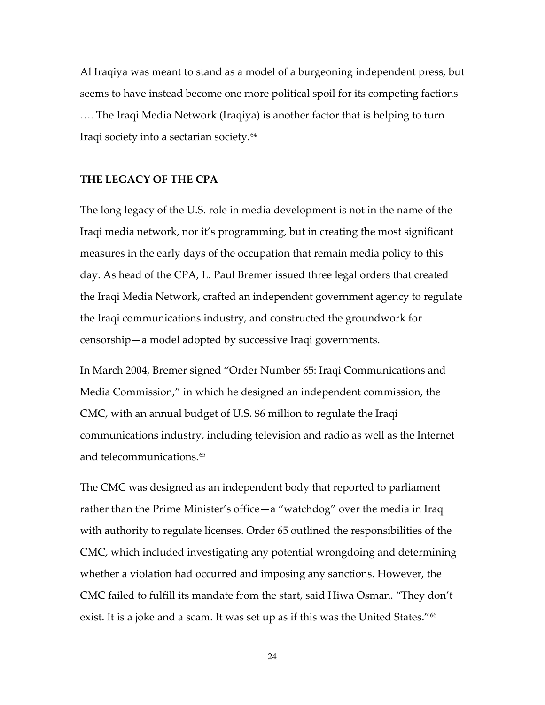Al Iraqiya was meant to stand as a model of a burgeoning independent press, but seems to have instead become one more political spoil for its competing factions

…. The Iraqi Media Network (Iraqiya) is another factor that is helping to turn Iraqi society into a sectarian society.[64](#page-43-7)

#### **THE LEGACY OF THE CPA**

The long legacy of the U.S. role in media development is not in the name of the Iraqi media network, nor it's programming, but in creating the most significant measures in the early days of the occupation that remain media policy to this day. As head of the CPA, L. Paul Bremer issued three legal orders that created the Iraqi Media Network, crafted an independent government agency to regulate the Iraqi communications industry, and constructed the groundwork for censorship—a model adopted by successive Iraqi governments.

In March 2004, Bremer signed "Order Number 65: Iraqi Communications and Media Commission," in which he designed an independent commission, the CMC, with an annual budget of U.S. \$6 million to regulate the Iraqi communications industry, including television and radio as well as the Internet and telecommunications.[65](#page-43-8)

The CMC was designed as an independent body that reported to parliament rather than the Prime Minister's office—a "watchdog" over the media in Iraq with authority to regulate licenses. Order 65 outlined the responsibilities of the CMC, which included investigating any potential wrongdoing and determining whether a violation had occurred and imposing any sanctions. However, the CMC failed to fulfill its mandate from the start, said Hiwa Osman. "They don't exist. It is a joke and a scam. It was set up as if this was the United States."<sup>[66](#page-43-9)</sup>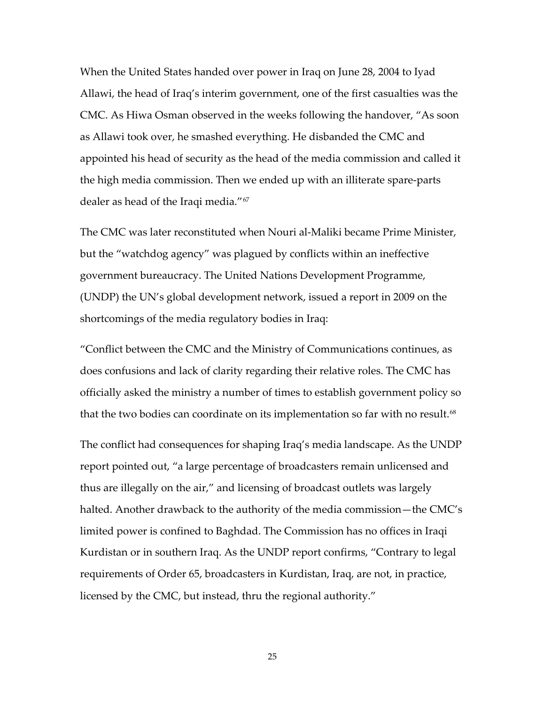When the United States handed over power in Iraq on June 28, 2004 to Iyad Allawi, the head of Iraq's interim government, one of the first casualties was the CMC. As Hiwa Osman observed in the weeks following the handover, "As soon as Allawi took over, he smashed everything. He disbanded the CMC and appointed his head of security as the head of the media commission and called it the high media commission. Then we ended up with an illiterate spare‐parts dealer as head of the Iraqi media."[67](#page-43-10)

The CMC was later reconstituted when Nouri al‐Maliki became Prime Minister, but the "watchdog agency" was plagued by conflicts within an ineffective government bureaucracy. The United Nations Development Programme, (UNDP) the UN's global development network, issued a report in 2009 on the shortcomings of the media regulatory bodies in Iraq:

"Conflict between the CMC and the Ministry of Communications continues, as does confusions and lack of clarity regarding their relative roles. The CMC has officially asked the ministry a number of times to establish government policy so that the two bodies can coordinate on its implementation so far with no result.<sup>[68](#page-44-0)</sup>

The conflict had consequences for shaping Iraq's media landscape. As the UNDP report pointed out, "a large percentage of broadcasters remain unlicensed and thus are illegally on the air," and licensing of broadcast outlets was largely halted. Another drawback to the authority of the media commission—the CMC's limited power is confined to Baghdad. The Commission has no offices in Iraqi Kurdistan or in southern Iraq. As the UNDP report confirms, "Contrary to legal requirements of Order 65, broadcasters in Kurdistan, Iraq, are not, in practice, licensed by the CMC, but instead, thru the regional authority."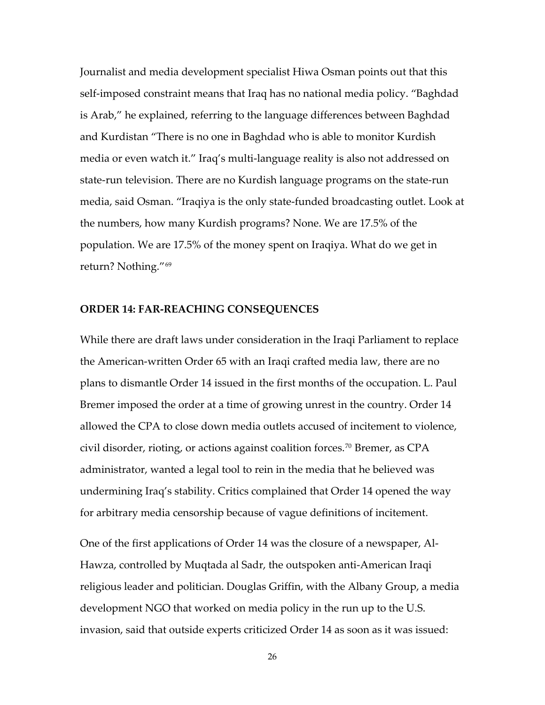Journalist and media development specialist Hiwa Osman points out that this self‐imposed constraint means that Iraq has no national media policy. "Baghdad is Arab," he explained, referring to the language differences between Baghdad and Kurdistan "There is no one in Baghdad who is able to monitor Kurdish media or even watch it." Iraq's multi‐language reality is also not addressed on state‐run television. There are no Kurdish language programs on the state‐run media, said Osman. "Iraqiya is the only state‐funded broadcasting outlet. Look at the numbers, how many Kurdish programs? None. We are 17.5% of the population. We are 17.5% of the money spent on Iraqiya. What do we get in return? Nothing."[69](#page-44-1)

#### **ORDER 14: FAR‐REACHING CONSEQUENCES**

While there are draft laws under consideration in the Iraqi Parliament to replace the American‐written Order 65 with an Iraqi crafted media law, there are no plans to dismantle Order 14 issued in the first months of the occupation. L. Paul Bremer imposed the order at a time of growing unrest in the country. Order 14 allowed the CPA to close down media outlets accused of incitement to violence, civil disorder, rioting, or actions against coalition forces.[70](#page-44-2) Bremer, as CPA administrator, wanted a legal tool to rein in the media that he believed was undermining Iraq's stability. Critics complained that Order 14 opened the way for arbitrary media censorship because of vague definitions of incitement.

One of the first applications of Order 14 was the closure of a newspaper, Al‐ Hawza, controlled by Muqtada al Sadr, the outspoken anti‐American Iraqi religious leader and politician. Douglas Griffin, with the Albany Group, a media development NGO that worked on media policy in the run up to the U.S. invasion, said that outside experts criticized Order 14 as soon as it was issued: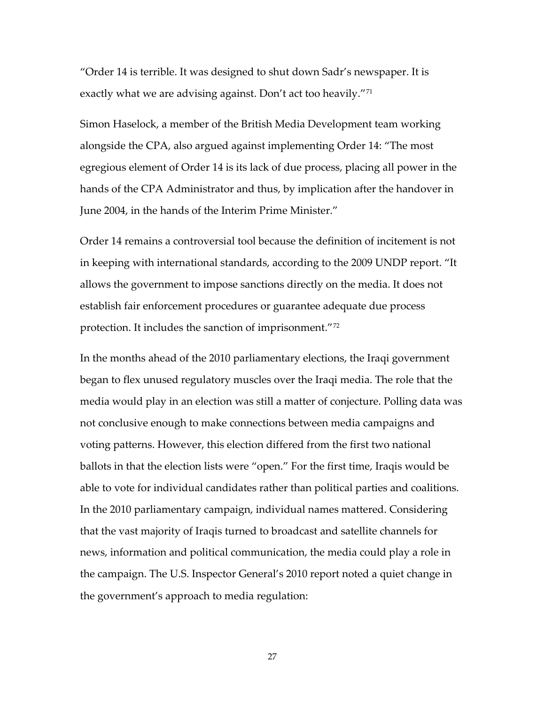"Order 14 is terrible. It was designed to shut down Sadr's newspaper. It is exactly what we are advising against. Don't act too heavily."[71](#page-44-3)

Simon Haselock, a member of the British Media Development team working alongside the CPA, also argued against implementing Order 14: "The most egregious element of Order 14 is its lack of due process, placing all power in the hands of the CPA Administrator and thus, by implication after the handover in June 2004, in the hands of the Interim Prime Minister."

Order 14 remains a controversial tool because the definition of incitement is not in keeping with international standards, according to the 2009 UNDP report. "It allows the government to impose sanctions directly on the media. It does not establish fair enforcement procedures or guarantee adequate due process protection. It includes the sanction of imprisonment."[72](#page-44-4)

In the months ahead of the 2010 parliamentary elections, the Iraqi government began to flex unused regulatory muscles over the Iraqi media. The role that the media would play in an election was still a matter of conjecture. Polling data was not conclusive enough to make connections between media campaigns and voting patterns. However, this election differed from the first two national ballots in that the election lists were "open." For the first time, Iraqis would be able to vote for individual candidates rather than political parties and coalitions. In the 2010 parliamentary campaign, individual names mattered. Considering that the vast majority of Iraqis turned to broadcast and satellite channels for news, information and political communication, the media could play a role in the campaign. The U.S. Inspector General's 2010 report noted a quiet change in the government's approach to media regulation: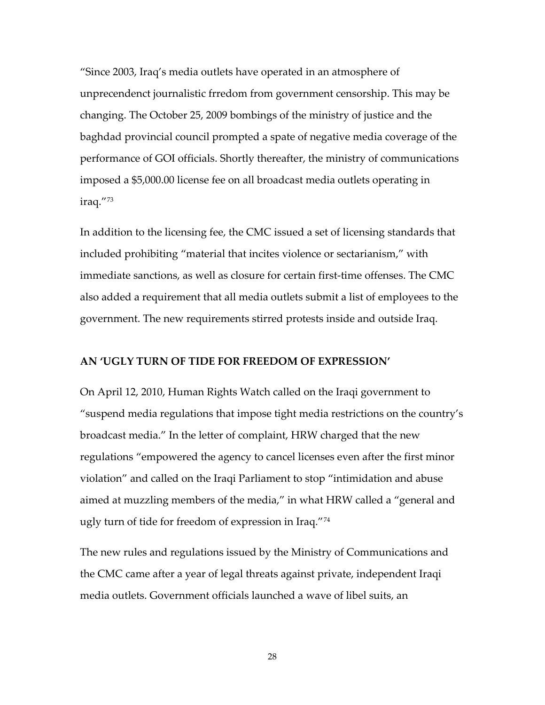"Since 2003, Iraq's media outlets have operated in an atmosphere of unprecendenct journalistic frredom from government censorship. This may be changing. The October 25, 2009 bombings of the ministry of justice and the baghdad provincial council prompted a spate of negative media coverage of the performance of GOI officials. Shortly thereafter, the ministry of communications imposed a \$5,000.00 license fee on all broadcast media outlets operating in iraq."[73](#page-44-5)

In addition to the licensing fee, the CMC issued a set of licensing standards that included prohibiting "material that incites violence or sectarianism," with immediate sanctions, as well as closure for certain first-time offenses. The CMC also added a requirement that all media outlets submit a list of employees to the government. The new requirements stirred protests inside and outside Iraq.

#### **AN 'UGLY TURN OF TIDE FOR FREEDOM OF EXPRESSION'**

On April 12, 2010, Human Rights Watch called on the Iraqi government to "suspend media regulations that impose tight media restrictions on the country's broadcast media." In the letter of complaint, HRW charged that the new regulations "empowered the agency to cancel licenses even after the first minor violation" and called on the Iraqi Parliament to stop "intimidation and abuse aimed at muzzling members of the media," in what HRW called a "general and ugly turn of tide for freedom of expression in Iraq."[74](#page-44-6)

The new rules and regulations issued by the Ministry of Communications and the CMC came after a year of legal threats against private, independent Iraqi media outlets. Government officials launched a wave of libel suits, an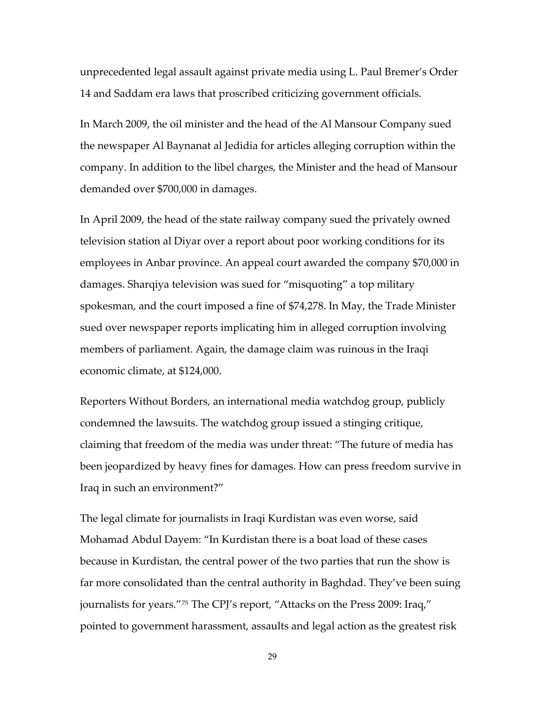unprecedented legal assault against private media using L. Paul Bremer's Order 14 and Saddam era laws that proscribed criticizing government officials.

In March 2009, the oil minister and the head of the Al Mansour Company sued the newspaper Al Baynanat al Jedidia for articles alleging corruption within the company. In addition to the libel charges, the Minister and the head of Mansour demanded over \$700,000 in damages.

In April 2009, the head of the state railway company sued the privately owned television station al Diyar over a report about poor working conditions for its employees in Anbar province. An appeal court awarded the company \$70,000 in damages. Sharqiya television was sued for "misquoting" a top military spokesman, and the court imposed a fine of \$74,278. In May, the Trade Minister sued over newspaper reports implicating him in alleged corruption involving members of parliament. Again, the damage claim was ruinous in the Iraqi economic climate, at \$124,000.

Reporters Without Borders, an international media watchdog group, publicly condemned the lawsuits. The watchdog group issued a stinging critique, claiming that freedom of the media was under threat: "The future of media has been jeopardized by heavy fines for damages. How can press freedom survive in Iraq in such an environment?"

The legal climate for journalists in Iraqi Kurdistan was even worse, said Mohamad Abdul Dayem: "In Kurdistan there is a boat load of these cases because in Kurdistan, the central power of the two parties that run the show is far more consolidated than the central authority in Baghdad. They've been suing journalists for years."[75](#page-44-7) The CPJ's report, "Attacks on the Press 2009: Iraq," pointed to government harassment, assaults and legal action as the greatest risk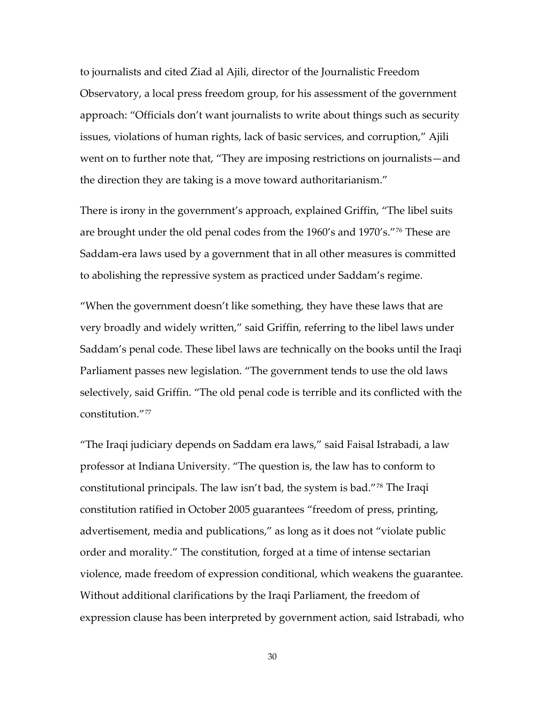to journalists and cited Ziad al Ajili, director of the Journalistic Freedom Observatory, a local press freedom group, for his assessment of the government approach: "Officials don't want journalists to write about things such as security issues, violations of human rights, lack of basic services, and corruption," Ajili went on to further note that, "They are imposing restrictions on journalists—and the direction they are taking is a move toward authoritarianism."

There is irony in the government's approach, explained Griffin, "The libel suits are brought under the old penal codes from the 1960's and 1970's."[76](#page-44-8) These are Saddam‐era laws used by a government that in all other measures is committed to abolishing the repressive system as practiced under Saddam's regime.

"When the government doesn't like something, they have these laws that are very broadly and widely written," said Griffin, referring to the libel laws under Saddam's penal code. These libel laws are technically on the books until the Iraqi Parliament passes new legislation. "The government tends to use the old laws selectively, said Griffin. "The old penal code is terrible and its conflicted with the constitution."[77](#page-44-9)

"The Iraqi judiciary depends on Saddam era laws," said Faisal Istrabadi, a law professor at Indiana University. "The question is, the law has to conform to constitutional principals. The law isn't bad, the system is bad."[78](#page-44-10) The Iraqi constitution ratified in October 2005 guarantees "freedom of press, printing, advertisement, media and publications," as long as it does not "violate public order and morality." The constitution, forged at a time of intense sectarian violence, made freedom of expression conditional, which weakens the guarantee. Without additional clarifications by the Iraqi Parliament, the freedom of expression clause has been interpreted by government action, said Istrabadi, who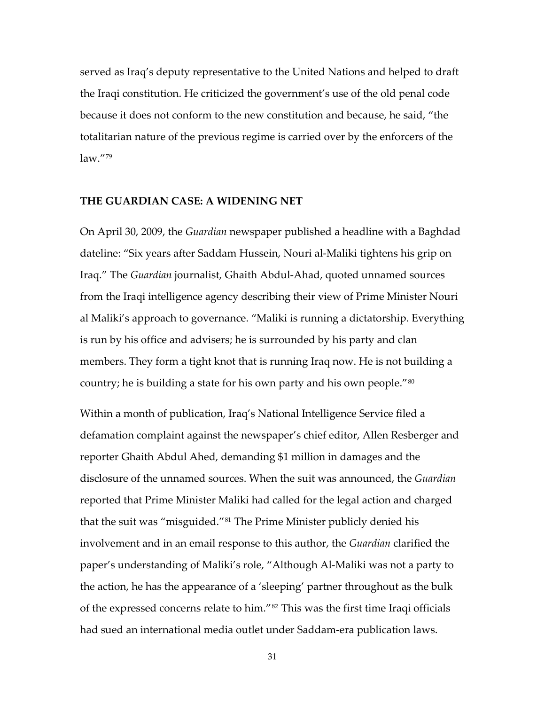served as Iraq's deputy representative to the United Nations and helped to draft the Iraqi constitution. He criticized the government's use of the old penal code because it does not conform to the new constitution and because, he said, "the totalitarian nature of the previous regime is carried over by the enforcers of the law."[79](#page-45-0)

#### **THE GUARDIAN CASE: A WIDENING NET**

On April 30, 2009, the *Guardian* newspaper published a headline with a Baghdad dateline: "Six years after Saddam Hussein, Nouri al‐Maliki tightens his grip on Iraq." The *Guardian* journalist, Ghaith Abdul‐Ahad, quoted unnamed sources from the Iraqi intelligence agency describing their view of Prime Minister Nouri al Maliki's approach to governance. "Maliki is running a dictatorship. Everything is run by his office and advisers; he is surrounded by his party and clan members. They form a tight knot that is running Iraq now. He is not building a country; he is building a state for his own party and his own people.<sup>"[80](#page-45-1)</sup>

Within a month of publication, Iraq's National Intelligence Service filed a defamation complaint against the newspaper's chief editor, Allen Resberger and reporter Ghaith Abdul Ahed, demanding \$1 million in damages and the disclosure of the unnamed sources. When the suit was announced, the *Guardian* reported that Prime Minister Maliki had called for the legal action and charged that the suit was "misguided."[81](#page-45-2) The Prime Minister publicly denied his involvement and in an email response to this author, the *Guardian* clarified the paper's understanding of Maliki's role, "Although Al‐Maliki was not a party to the action, he has the appearance of a 'sleeping' partner throughout as the bulk of the expressed concerns relate to him."[82](#page-45-3) This was the first time Iraqi officials had sued an international media outlet under Saddam‐era publication laws.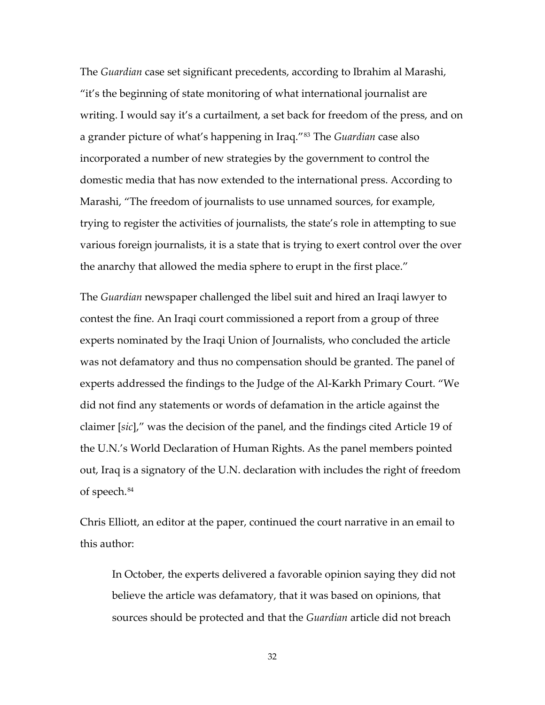The *Guardian* case set significant precedents, according to Ibrahim al Marashi, "it's the beginning of state monitoring of what international journalist are writing. I would say it's a curtailment, a set back for freedom of the press, and on a grander picture of what's happening in Iraq."[83](#page-45-4) The *Guardian* case also incorporated a number of new strategies by the government to control the domestic media that has now extended to the international press. According to Marashi, "The freedom of journalists to use unnamed sources, for example, trying to register the activities of journalists, the state's role in attempting to sue various foreign journalists, it is a state that is trying to exert control over the over the anarchy that allowed the media sphere to erupt in the first place."

The *Guardian* newspaper challenged the libel suit and hired an Iraqi lawyer to contest the fine. An Iraqi court commissioned a report from a group of three experts nominated by the Iraqi Union of Journalists, who concluded the article was not defamatory and thus no compensation should be granted. The panel of experts addressed the findings to the Judge of the Al‐Karkh Primary Court. "We did not find any statements or words of defamation in the article against the claimer [*sic*]," was the decision of the panel, and the findings cited Article 19 of the U.N.'s World Declaration of Human Rights. As the panel members pointed out, Iraq is a signatory of the U.N. declaration with includes the right of freedom of speech.[84](#page-45-5)

Chris Elliott, an editor at the paper, continued the court narrative in an email to this author:

In October, the experts delivered a favorable opinion saying they did not believe the article was defamatory, that it was based on opinions, that sources should be protected and that the *Guardian* article did not breach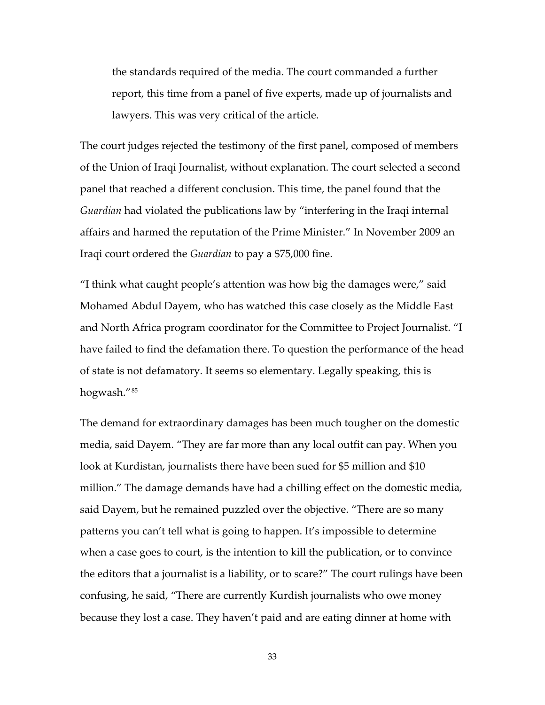the standards required of the media. The court commanded a further report, this time from a panel of five experts, made up of journalists and lawyers. This was very critical of the article.

The court judges rejected the testimony of the first panel, composed of members of the Union of Iraqi Journalist, without explanation. The court selected a second panel that reached a different conclusion. This time, the panel found that the *Guardian* had violated the publications law by "interfering in the Iraqi internal affairs and harmed the reputation of the Prime Minister." In November 2009 an Iraqi court ordered the *Guardian* to pay a \$75,000 fine.

"I think what caught people's attention was how big the damages were," said Mohamed Abdul Dayem, who has watched this case closely as the Middle East and North Africa program coordinator for the Committee to Project Journalist. "I have failed to find the defamation there. To question the performance of the head of state is not defamatory. It seems so elementary. Legally speaking, this is hogwash."[85](#page-45-6)

The demand for extraordinary damages has been much tougher on the domestic media, said Dayem. "They are far more than any local outfit can pay. When you look at Kurdistan, journalists there have been sued for \$5 million and \$10 million." The damage demands have had a chilling effect on the domestic media, said Dayem, but he remained puzzled over the objective. "There are so many patterns you can't tell what is going to happen. It's impossible to determine when a case goes to court, is the intention to kill the publication, or to convince the editors that a journalist is a liability, or to scare?" The court rulings have been confusing, he said, "There are currently Kurdish journalists who owe money because they lost a case. They haven't paid and are eating dinner at home with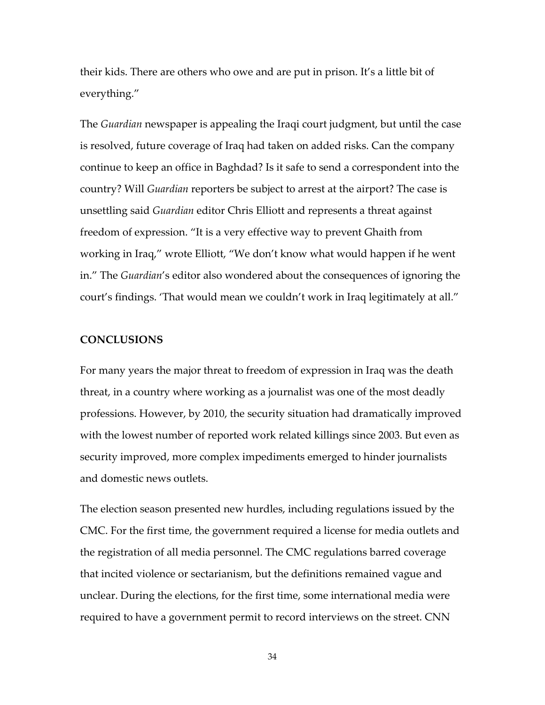their kids. There are others who owe and are put in prison. It's a little bit of everything."

The *Guardian* newspaper is appealing the Iraqi court judgment, but until the case is resolved, future coverage of Iraq had taken on added risks. Can the company continue to keep an office in Baghdad? Is it safe to send a correspondent into the country? Will *Guardian* reporters be subject to arrest at the airport? The case is unsettling said *Guardian* editor Chris Elliott and represents a threat against freedom of expression. "It is a very effective way to prevent Ghaith from working in Iraq," wrote Elliott, "We don't know what would happen if he went in." The *Guardian*'s editor also wondered about the consequences of ignoring the court's findings. 'That would mean we couldn't work in Iraq legitimately at all."

#### **CONCLUSIONS**

For many years the major threat to freedom of expression in Iraq was the death threat, in a country where working as a journalist was one of the most deadly professions. However, by 2010, the security situation had dramatically improved with the lowest number of reported work related killings since 2003. But even as security improved, more complex impediments emerged to hinder journalists and domestic news outlets.

The election season presented new hurdles, including regulations issued by the CMC. For the first time, the government required a license for media outlets and the registration of all media personnel. The CMC regulations barred coverage that incited violence or sectarianism, but the definitions remained vague and unclear. During the elections, for the first time, some international media were required to have a government permit to record interviews on the street. CNN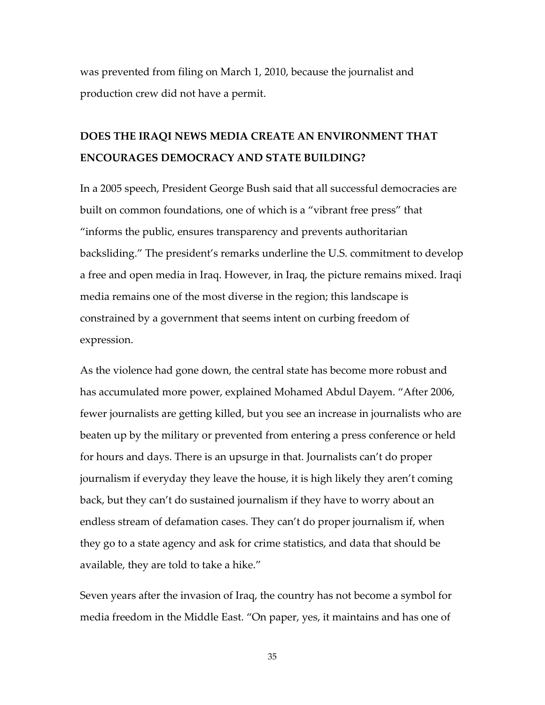was prevented from filing on March 1, 2010, because the journalist and production crew did not have a permit.

## **DOES THE IRAQI NEWS MEDIA CREATE AN ENVIRONMENT THAT ENCOURAGES DEMOCRACY AND STATE BUILDING?**

In a 2005 speech, President George Bush said that all successful democracies are built on common foundations, one of which is a "vibrant free press" that "informs the public, ensures transparency and prevents authoritarian backsliding." The president's remarks underline the U.S. commitment to develop a free and open media in Iraq. However, in Iraq, the picture remains mixed. Iraqi media remains one of the most diverse in the region; this landscape is constrained by a government that seems intent on curbing freedom of expression.

As the violence had gone down, the central state has become more robust and has accumulated more power, explained Mohamed Abdul Dayem. "After 2006, fewer journalists are getting killed, but you see an increase in journalists who are beaten up by the military or prevented from entering a press conference or held for hours and days. There is an upsurge in that. Journalists can't do proper journalism if everyday they leave the house, it is high likely they aren't coming back, but they can't do sustained journalism if they have to worry about an endless stream of defamation cases. They can't do proper journalism if, when they go to a state agency and ask for crime statistics, and data that should be available, they are told to take a hike."

Seven years after the invasion of Iraq, the country has not become a symbol for media freedom in the Middle East. "On paper, yes, it maintains and has one of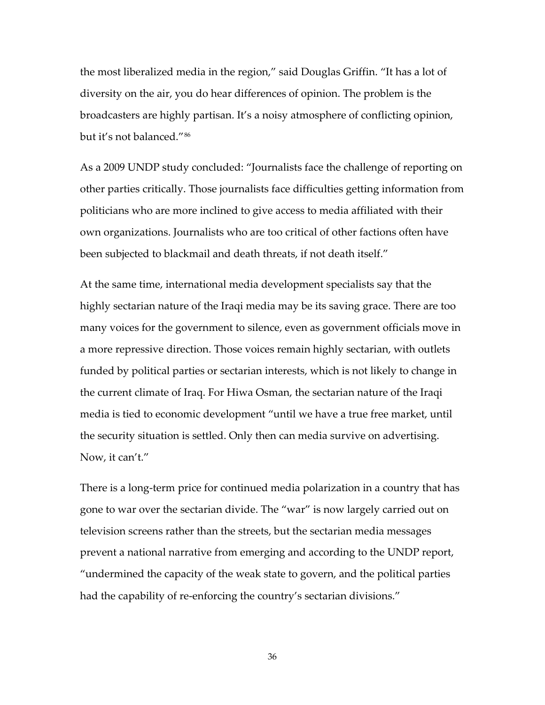the most liberalized media in the region," said Douglas Griffin. "It has a lot of diversity on the air, you do hear differences of opinion. The problem is the broadcasters are highly partisan. It's a noisy atmosphere of conflicting opinion, but it's not balanced."[86](#page-45-7)

As a 2009 UNDP study concluded: "Journalists face the challenge of reporting on other parties critically. Those journalists face difficulties getting information from politicians who are more inclined to give access to media affiliated with their own organizations. Journalists who are too critical of other factions often have been subjected to blackmail and death threats, if not death itself."

At the same time, international media development specialists say that the highly sectarian nature of the Iraqi media may be its saving grace. There are too many voices for the government to silence, even as government officials move in a more repressive direction. Those voices remain highly sectarian, with outlets funded by political parties or sectarian interests, which is not likely to change in the current climate of Iraq. For Hiwa Osman, the sectarian nature of the Iraqi media is tied to economic development "until we have a true free market, until the security situation is settled. Only then can media survive on advertising. Now, it can't."

There is a long‐term price for continued media polarization in a country that has gone to war over the sectarian divide. The "war" is now largely carried out on television screens rather than the streets, but the sectarian media messages prevent a national narrative from emerging and according to the UNDP report, "undermined the capacity of the weak state to govern, and the political parties had the capability of re-enforcing the country's sectarian divisions."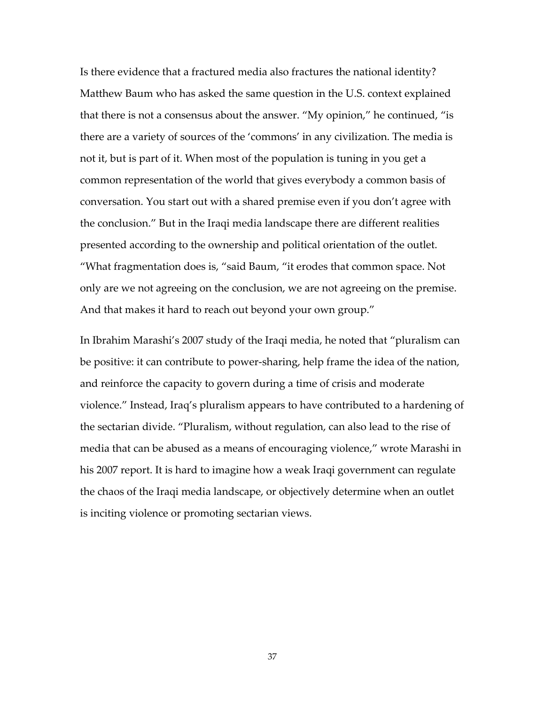Is there evidence that a fractured media also fractures the national identity? Matthew Baum who has asked the same question in the U.S. context explained that there is not a consensus about the answer. "My opinion," he continued, "is there are a variety of sources of the 'commons' in any civilization. The media is not it, but is part of it. When most of the population is tuning in you get a common representation of the world that gives everybody a common basis of conversation. You start out with a shared premise even if you don't agree with the conclusion." But in the Iraqi media landscape there are different realities presented according to the ownership and political orientation of the outlet. "What fragmentation does is, "said Baum, "it erodes that common space. Not only are we not agreeing on the conclusion, we are not agreeing on the premise. And that makes it hard to reach out beyond your own group."

In Ibrahim Marashi's 2007 study of the Iraqi media, he noted that "pluralism can be positive: it can contribute to power‐sharing, help frame the idea of the nation, and reinforce the capacity to govern during a time of crisis and moderate violence." Instead, Iraq's pluralism appears to have contributed to a hardening of the sectarian divide. "Pluralism, without regulation, can also lead to the rise of media that can be abused as a means of encouraging violence," wrote Marashi in his 2007 report. It is hard to imagine how a weak Iraqi government can regulate the chaos of the Iraqi media landscape, or objectively determine when an outlet is inciting violence or promoting sectarian views.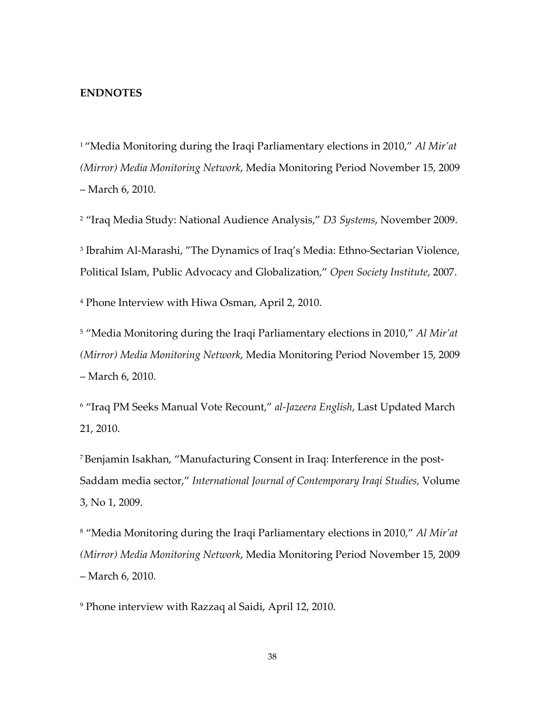#### **ENDNOTES**

<span id="page-38-0"></span><sup>1</sup> "Media Monitoring during the Iraqi Parliamentary elections in 2010," *Al Mir'at (Mirror) Media Monitoring Network*, Media Monitoring Period November 15, 2009 – March 6, 2010.

<span id="page-38-1"></span><sup>2</sup> "Iraq Media Study: National Audience Analysis," *D3 Systems*, November 2009.

<span id="page-38-2"></span><sup>3</sup> Ibrahim Al-Marashi, "The Dynamics of Iraq's Media: Ethno-Sectarian Violence, Political Islam, Public Advocacy and Globalization," *Open Society Institute*, 2007.

<span id="page-38-3"></span><sup>4</sup> Phone Interview with Hiwa Osman, April 2, 2010.

<span id="page-38-4"></span><sup>5</sup> "Media Monitoring during the Iraqi Parliamentary elections in 2010," *Al Mir'at (Mirror) Media Monitoring Network*, Media Monitoring Period November 15, 2009 – March 6, 2010.

<span id="page-38-5"></span><sup>6</sup> "Iraq PM Seeks Manual Vote Recount," *al‐Jazeera English*, Last Updated March 21, 2010.

<span id="page-38-6"></span>7Benjamin Isakhan, "Manufacturing Consent in Iraq: Interference in the post‐ Saddam media sector," *International Journal of Contemporary Iraqi Studies,* Volume 3, No 1, 2009.

<span id="page-38-7"></span><sup>8</sup> "Media Monitoring during the Iraqi Parliamentary elections in 2010," *Al Mir'at (Mirror) Media Monitoring Network*, Media Monitoring Period November 15, 2009 – March 6, 2010.

<span id="page-38-8"></span><sup>9</sup> Phone interview with Razzaq al Saidi, April 12, 2010.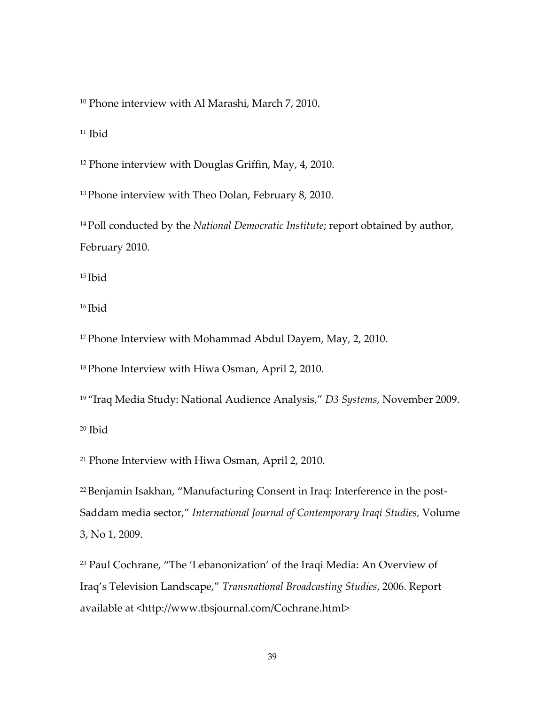<span id="page-39-0"></span><sup>10</sup> Phone interview with Al Marashi, March 7, 2010.

<span id="page-39-1"></span> $11$  Ibid

<span id="page-39-2"></span><sup>12</sup> Phone interview with Douglas Griffin, May, 4, 2010.

<span id="page-39-3"></span><sup>13</sup> Phone interview with Theo Dolan, February 8, 2010.

<span id="page-39-4"></span>14Poll conducted by the *National Democratic Institute*; report obtained by author, February 2010.

<span id="page-39-5"></span> $15$  Ibid

<span id="page-39-6"></span><sup>16</sup> Ibid

<span id="page-39-7"></span><sup>17</sup> Phone Interview with Mohammad Abdul Dayem, May, 2, 2010.

<span id="page-39-8"></span><sup>18</sup> Phone Interview with Hiwa Osman, April 2, 2010.

<span id="page-39-9"></span><sup>19</sup> "Iraq Media Study: National Audience Analysis," *D3 Systems*, November 2009.

<span id="page-39-10"></span> $20$  Ibid

<span id="page-39-11"></span><sup>21</sup> Phone Interview with Hiwa Osman, April 2, 2010.

<span id="page-39-12"></span><sup>22</sup> Benjamin Isakhan, "Manufacturing Consent in Iraq: Interference in the post-Saddam media sector," *International Journal of Contemporary Iraqi Studies,* Volume 3, No 1, 2009.

<span id="page-39-13"></span><sup>23</sup> Paul Cochrane, "The 'Lebanonization' of the Iraqi Media: An Overview of Iraq's Television Landscape," *Transnational Broadcasting Studies*, 2006. Report available at <http://www.tbsjournal.com/Cochrane.html>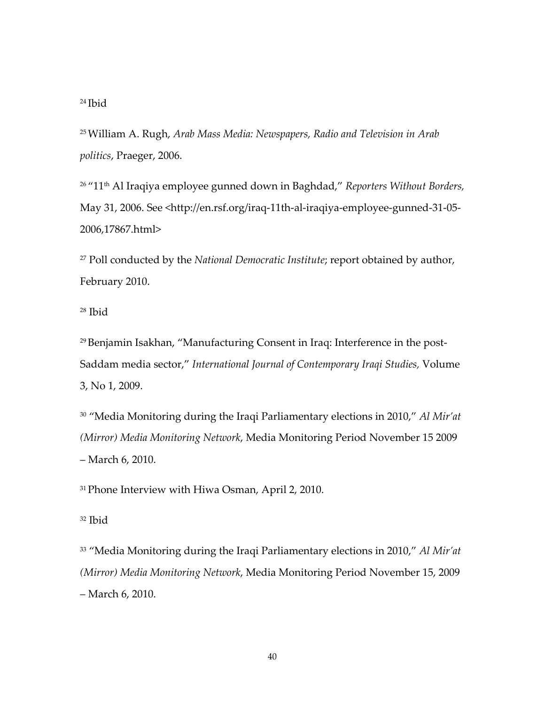#### <span id="page-40-0"></span><sup>24</sup> Ibid

<span id="page-40-1"></span>25William A. Rugh, *Arab Mass Media: Newspapers, Radio and Television in Arab politics*, Praeger, 2006.

<span id="page-40-2"></span><sup>26</sup> "11th Al Iraqiya employee gunned down in Baghdad," *Reporters Without Borders,* May 31, 2006. See <http://en.rsf.org/iraq-11th-al-iraqiya-employee-gunned-31-05-2006,17867.html>

<span id="page-40-3"></span><sup>27</sup> Poll conducted by the *National Democratic Institute*; report obtained by author, February 2010.

<span id="page-40-4"></span><sup>28</sup> Ibid

<span id="page-40-5"></span>29Benjamin Isakhan, "Manufacturing Consent in Iraq: Interference in the post‐ Saddam media sector," *International Journal of Contemporary Iraqi Studies,* Volume 3, No 1, 2009.

<span id="page-40-6"></span><sup>30</sup> "Media Monitoring during the Iraqi Parliamentary elections in 2010," *Al Mir'at (Mirror) Media Monitoring Network*, Media Monitoring Period November 15 2009 – March 6, 2010.

<span id="page-40-7"></span><sup>31</sup> Phone Interview with Hiwa Osman, April 2, 2010.

<span id="page-40-8"></span><sup>32</sup> Ibid

<span id="page-40-9"></span><sup>33</sup> "Media Monitoring during the Iraqi Parliamentary elections in 2010," *Al Mir'at (Mirror) Media Monitoring Network*, Media Monitoring Period November 15, 2009 – March 6, 2010.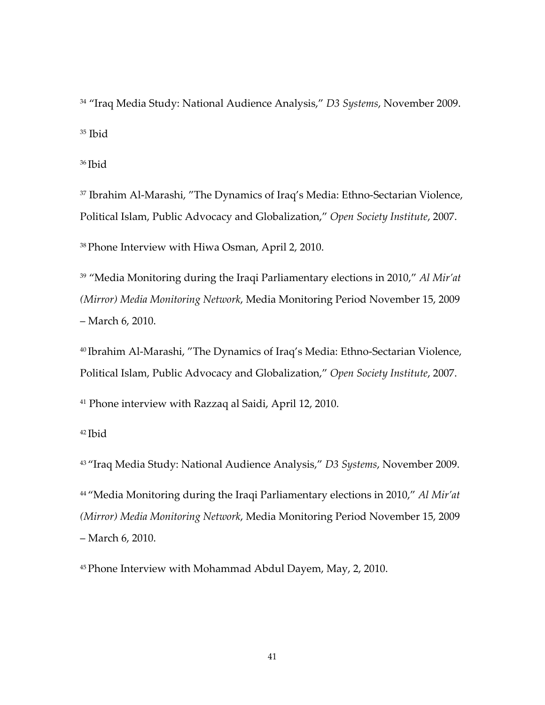<span id="page-41-0"></span><sup>34</sup> "Iraq Media Study: National Audience Analysis," *D3 Systems*, November 2009.  $35$  Ibid

<span id="page-41-1"></span><sup>36</sup> Ibid

<span id="page-41-2"></span><sup>37</sup> Ibrahim Al-Marashi, "The Dynamics of Iraq's Media: Ethno-Sectarian Violence, Political Islam, Public Advocacy and Globalization," *Open Society Institute*, 2007.

<span id="page-41-3"></span>38Phone Interview with Hiwa Osman, April 2, 2010.

<span id="page-41-4"></span><sup>39</sup> "Media Monitoring during the Iraqi Parliamentary elections in 2010," *Al Mir'at (Mirror) Media Monitoring Network*, Media Monitoring Period November 15, 2009 – March 6, 2010.

<span id="page-41-5"></span><sup>40</sup> Ibrahim Al‐Marashi, "The Dynamics of Iraq's Media: Ethno‐Sectarian Violence, Political Islam, Public Advocacy and Globalization," *Open Society Institute*, 2007.

<span id="page-41-6"></span><sup>41</sup> Phone interview with Razzaq al Saidi, April 12, 2010.

<span id="page-41-7"></span><sup>42</sup> Ibid

<span id="page-41-8"></span><sup>43</sup> "Iraq Media Study: National Audience Analysis," *D3 Systems*, November 2009.

<span id="page-41-9"></span><sup>44</sup> "Media Monitoring during the Iraqi Parliamentary elections in 2010," *Al Mir'at (Mirror) Media Monitoring Network*, Media Monitoring Period November 15, 2009 – March 6, 2010.

<span id="page-41-10"></span>45Phone Interview with Mohammad Abdul Dayem, May, 2, 2010.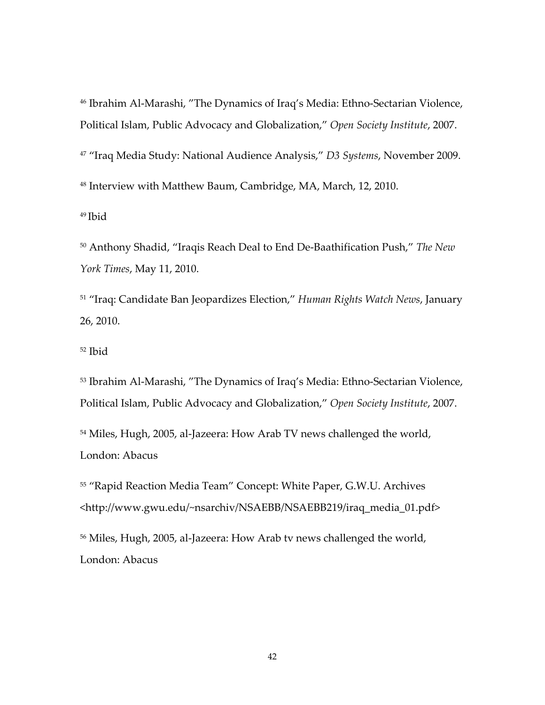<span id="page-42-0"></span><sup>46</sup> Ibrahim Al‐Marashi, "The Dynamics of Iraq's Media: Ethno‐Sectarian Violence, Political Islam, Public Advocacy and Globalization," *Open Society Institute*, 2007.

<span id="page-42-2"></span><span id="page-42-1"></span><sup>47</sup> "Iraq Media Study: National Audience Analysis," *D3 Systems*, November 2009. <sup>48</sup> Interview with Matthew Baum, Cambridge, MA, March, 12, 2010.

<span id="page-42-3"></span><sup>49</sup> Ibid

<span id="page-42-4"></span><sup>50</sup> Anthony Shadid, "Iraqis Reach Deal to End De‐Baathification Push," *The New York Times*, May 11, 2010.

<span id="page-42-5"></span><sup>51</sup> "Iraq: Candidate Ban Jeopardizes Election," *Human Rights Watch News*, January 26, 2010.

<span id="page-42-6"></span><sup>52</sup> Ibid

<span id="page-42-7"></span>53 Ibrahim Al-Marashi, "The Dynamics of Iraq's Media: Ethno-Sectarian Violence, Political Islam, Public Advocacy and Globalization," *Open Society Institute*, 2007.

<span id="page-42-8"></span><sup>54</sup> Miles, Hugh, 2005, al-Jazeera: How Arab TV news challenged the world, London: Abacus

<span id="page-42-9"></span><sup>55</sup> "Rapid Reaction Media Team" Concept: White Paper, G.W.U. Archives <http://www.gwu.edu/~nsarchiv/NSAEBB/NSAEBB219/iraq\_media\_01.pdf>

<span id="page-42-10"></span><sup>56</sup> Miles, Hugh, 2005, al‐Jazeera: How Arab tv news challenged the world, London: Abacus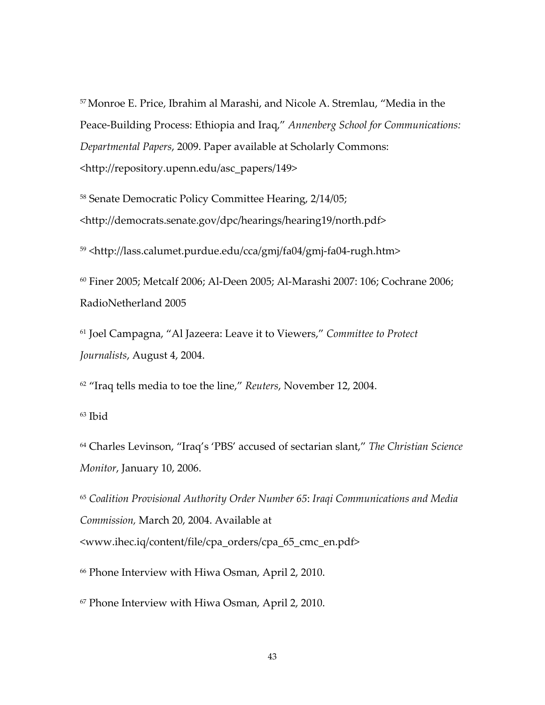<span id="page-43-0"></span>57Monroe E. Price, Ibrahim al Marashi, and Nicole A. Stremlau, "Media in the Peace‐Building Process: Ethiopia and Iraq," *Annenberg School for Communications: Departmental Papers*, 2009. Paper available at Scholarly Commons: <http://repository.upenn.edu/asc\_papers/149>

<span id="page-43-1"></span><sup>58</sup> Senate Democratic Policy Committee Hearing, 2/14/05; <http://democrats.senate.gov/dpc/hearings/hearing19/north.pdf>

<span id="page-43-2"></span><sup>59</sup> <http://lass.calumet.purdue.edu/cca/gmj/fa04/gmj‐fa04‐rugh.htm>

<span id="page-43-3"></span><sup>60</sup> Finer 2005; Metcalf 2006; Al‐Deen 2005; Al‐Marashi 2007: 106; Cochrane 2006; RadioNetherland 2005

<span id="page-43-4"></span><sup>61</sup> Joel Campagna, "Al Jazeera: Leave it to Viewers," *Committee to Protect Journalists*, August 4, 2004.

<span id="page-43-5"></span><sup>62</sup> "Iraq tells media to toe the line," *Reuters*, November 12, 2004.

<span id="page-43-6"></span><sup>63</sup> Ibid

<span id="page-43-7"></span><sup>64</sup> Charles Levinson, "Iraq's 'PBS' accused of sectarian slant," *The Christian Science Monitor*, January 10, 2006.

<span id="page-43-8"></span><sup>65</sup> *Coalition Provisional Authority Order Number 65*: *Iraqi Communications and Media Commission,* March 20, 2004. Available at <www.ihec.iq/content/file/cpa\_orders/cpa\_65\_cmc\_en.pdf>

<span id="page-43-9"></span><sup>66</sup> Phone Interview with Hiwa Osman, April 2, 2010.

<span id="page-43-10"></span><sup>67</sup> Phone Interview with Hiwa Osman, April 2, 2010.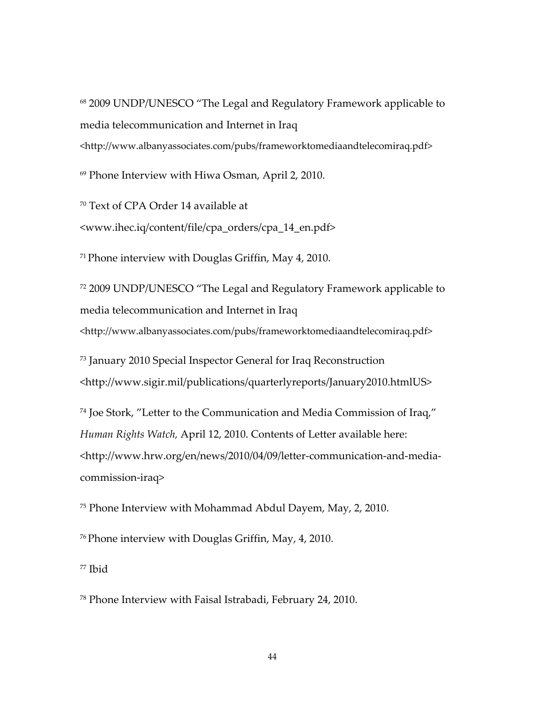<span id="page-44-0"></span><sup>68</sup> 2009 UNDP/UNESCO "The Legal and Regulatory Framework applicable to media telecommunication and Internet in Iraq <http://www.albanyassociates.com/pubs/frameworktomediaandtelecomiraq.pdf>

<span id="page-44-1"></span><sup>69</sup> Phone Interview with Hiwa Osman, April 2, 2010.

<span id="page-44-2"></span><sup>70</sup> Text of CPA Order 14 available at <www.ihec.iq/content/file/cpa\_orders/cpa\_14\_en.pdf>

<span id="page-44-3"></span> $71$  Phone interview with Douglas Griffin, May 4, 2010.

<span id="page-44-4"></span><sup>72</sup> 2009 UNDP/UNESCO "The Legal and Regulatory Framework applicable to media telecommunication and Internet in Iraq <http://www.albanyassociates.com/pubs/frameworktomediaandtelecomiraq.pdf>

<span id="page-44-5"></span><sup>73</sup> January 2010 Special Inspector General for Iraq Reconstruction <http://www.sigir.mil/publications/quarterlyreports/January2010.htmlUS>

<span id="page-44-6"></span><sup>74</sup> Joe Stork, "Letter to the Communication and Media Commission of Iraq," *Human Rights Watch,* April 12, 2010. Contents of Letter available here: <http://www.hrw.org/en/news/2010/04/09/letter‐communication‐and‐media‐ commission‐iraq>

<span id="page-44-7"></span><sup>75</sup> Phone Interview with Mohammad Abdul Dayem, May, 2, 2010.

<span id="page-44-8"></span>76Phone interview with Douglas Griffin, May, 4, 2010.

<span id="page-44-9"></span><sup>77</sup> Ibid

<span id="page-44-10"></span><sup>78</sup> Phone Interview with Faisal Istrabadi, February 24, 2010.